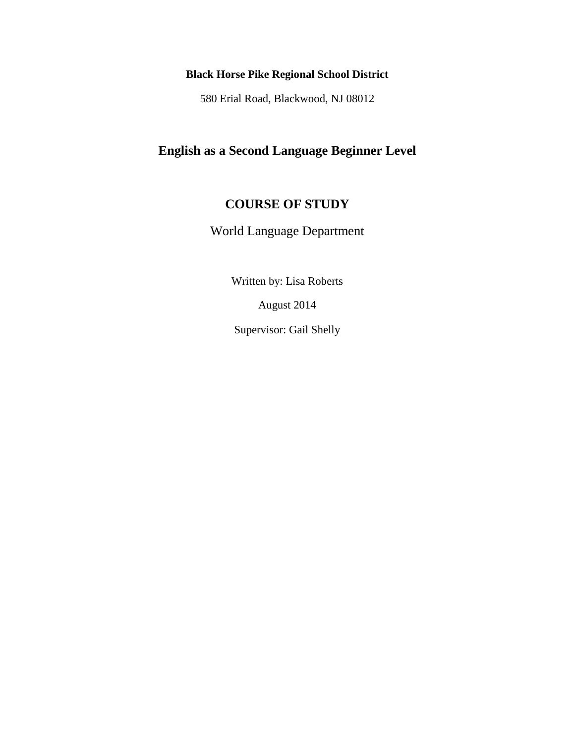## **Black Horse Pike Regional School District**

580 Erial Road, Blackwood, NJ 08012

# **English as a Second Language Beginner Level**

## **COURSE OF STUDY**

World Language Department

Written by: Lisa Roberts

August 2014

Supervisor: Gail Shelly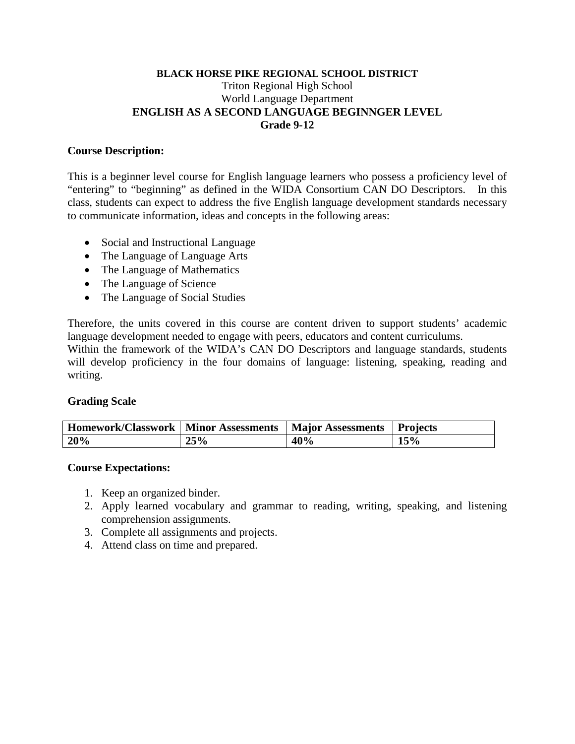## **BLACK HORSE PIKE REGIONAL SCHOOL DISTRICT** Triton Regional High School World Language Department **ENGLISH AS A SECOND LANGUAGE BEGINNGER LEVEL Grade 9-12**

## **Course Description:**

This is a beginner level course for English language learners who possess a proficiency level of "entering" to "beginning" as defined in the WIDA Consortium CAN DO Descriptors. In this class, students can expect to address the five English language development standards necessary to communicate information, ideas and concepts in the following areas:

- Social and Instructional Language
- The Language of Language Arts
- The Language of Mathematics
- The Language of Science
- The Language of Social Studies

Therefore, the units covered in this course are content driven to support students' academic language development needed to engage with peers, educators and content curriculums.

Within the framework of the WIDA's CAN DO Descriptors and language standards, students will develop proficiency in the four domains of language: listening, speaking, reading and writing.

## **Grading Scale**

| Homework/Classwork | Minor Assessments | <b>Major Assessments</b> | Projects |
|--------------------|-------------------|--------------------------|----------|
| 20%                | 25%               | 40%                      | 15%      |

## **Course Expectations:**

- 1. Keep an organized binder.
- 2. Apply learned vocabulary and grammar to reading, writing, speaking, and listening comprehension assignments.
- 3. Complete all assignments and projects.
- 4. Attend class on time and prepared.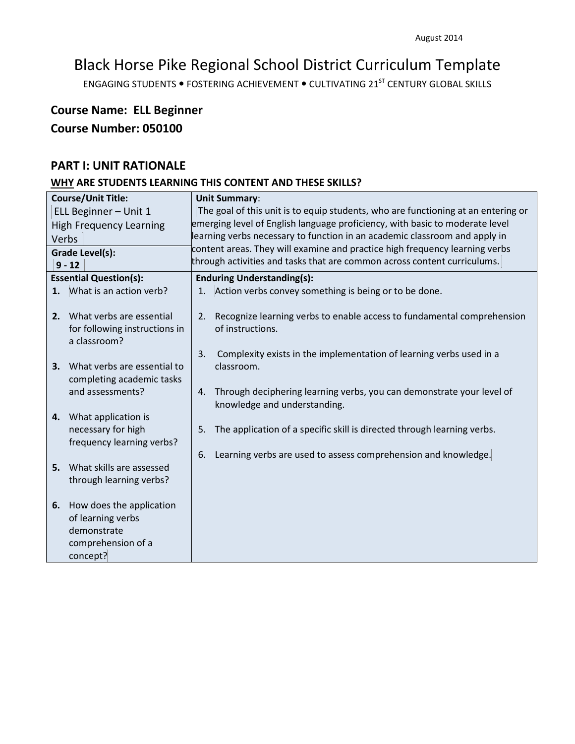ENGAGING STUDENTS . FOSTERING ACHIEVEMENT . CULTIVATING 21<sup>ST</sup> CENTURY GLOBAL SKILLS

# **Course Name: ELL Beginner Course Number: 050100**

## **PART I: UNIT RATIONALE**

|                                | <b>Course/Unit Title:</b>          |                                                                              | <b>Unit Summary:</b>                                                              |  |  |
|--------------------------------|------------------------------------|------------------------------------------------------------------------------|-----------------------------------------------------------------------------------|--|--|
|                                | ELL Beginner - Unit 1              |                                                                              | The goal of this unit is to equip students, who are functioning at an entering or |  |  |
| <b>High Frequency Learning</b> |                                    | emerging level of English language proficiency, with basic to moderate level |                                                                                   |  |  |
|                                | Verbs                              | learning verbs necessary to function in an academic classroom and apply in   |                                                                                   |  |  |
|                                | <b>Grade Level(s):</b>             | content areas. They will examine and practice high frequency learning verbs  |                                                                                   |  |  |
|                                | $9 - 12$                           |                                                                              | through activities and tasks that are common across content curriculums.          |  |  |
|                                | <b>Essential Question(s):</b>      |                                                                              | <b>Enduring Understanding(s):</b>                                                 |  |  |
| 1.                             | What is an action verb?            | 1.                                                                           | Action verbs convey something is being or to be done.                             |  |  |
|                                |                                    |                                                                              |                                                                                   |  |  |
| 2.                             | What verbs are essential           | 2.                                                                           | Recognize learning verbs to enable access to fundamental comprehension            |  |  |
|                                | for following instructions in      |                                                                              | of instructions.                                                                  |  |  |
|                                | a classroom?                       |                                                                              |                                                                                   |  |  |
|                                | What verbs are essential to        | 3.                                                                           | Complexity exists in the implementation of learning verbs used in a<br>classroom. |  |  |
| 3.                             | completing academic tasks          |                                                                              |                                                                                   |  |  |
|                                | and assessments?                   | 4.                                                                           | Through deciphering learning verbs, you can demonstrate your level of             |  |  |
|                                |                                    |                                                                              | knowledge and understanding.                                                      |  |  |
| 4.                             | What application is                |                                                                              |                                                                                   |  |  |
|                                | necessary for high                 | 5.                                                                           | The application of a specific skill is directed through learning verbs.           |  |  |
|                                | frequency learning verbs?          |                                                                              |                                                                                   |  |  |
|                                |                                    | 6.                                                                           | Learning verbs are used to assess comprehension and knowledge.                    |  |  |
|                                | <b>5.</b> What skills are assessed |                                                                              |                                                                                   |  |  |
|                                | through learning verbs?            |                                                                              |                                                                                   |  |  |
|                                |                                    |                                                                              |                                                                                   |  |  |
| 6.                             | How does the application           |                                                                              |                                                                                   |  |  |
|                                | of learning verbs                  |                                                                              |                                                                                   |  |  |
|                                | demonstrate                        |                                                                              |                                                                                   |  |  |
|                                | comprehension of a                 |                                                                              |                                                                                   |  |  |
|                                | concept?                           |                                                                              |                                                                                   |  |  |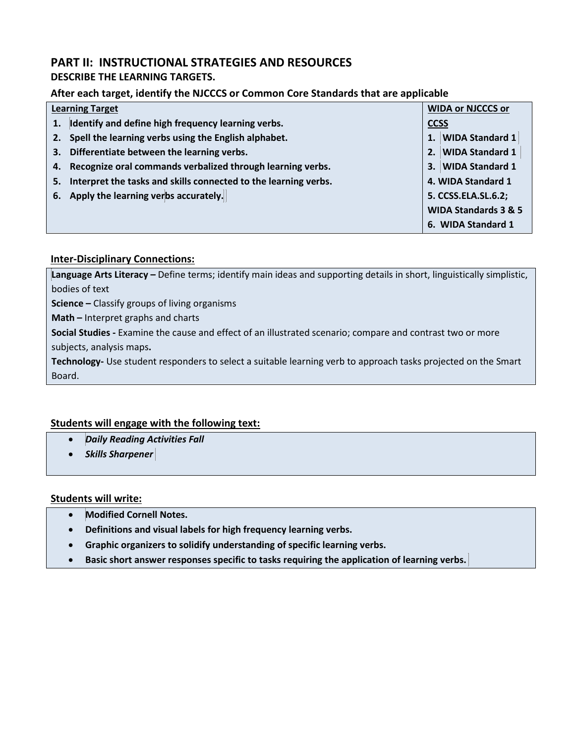## **PART II: INSTRUCTIONAL STRATEGIES AND RESOURCES**

## **DESCRIBE THE LEARNING TARGETS.**

## **After each target, identify the NJCCCS or Common Core Standards that are applicable**

| <b>Learning Target</b> |                                                                 |             | <b>WIDA or NJCCCS or</b>        |  |
|------------------------|-----------------------------------------------------------------|-------------|---------------------------------|--|
|                        | 1. Identify and define high frequency learning verbs.           | <b>CCSS</b> |                                 |  |
|                        | 2. Spell the learning verbs using the English alphabet.         |             | 1. WIDA Standard 1              |  |
| 3.                     | Differentiate between the learning verbs.                       |             | 2. WIDA Standard 1              |  |
|                        | 4. Recognize oral commands verbalized through learning verbs.   |             | 3. WIDA Standard 1              |  |
| 5.                     | Interpret the tasks and skills connected to the learning verbs. |             | 4. WIDA Standard 1              |  |
|                        | 6. Apply the learning verbs accurately.                         |             | 5. CCSS.ELA.SL.6.2;             |  |
|                        |                                                                 |             | <b>WIDA Standards 3 &amp; 5</b> |  |
|                        |                                                                 |             | 6. WIDA Standard 1              |  |

## **Inter-Disciplinary Connections:**

**Language Arts Literacy –** Define terms; identify main ideas and supporting details in short, linguistically simplistic, bodies of text

**Science –** Classify groups of living organisms

**Math –** Interpret graphs and charts

**Social Studies -** Examine the cause and effect of an illustrated scenario; compare and contrast two or more subjects, analysis maps**.** 

**Technology-** Use student responders to select a suitable learning verb to approach tasks projected on the Smart Board.

## **Students will engage with the following text:**

- *Daily Reading Activities Fall*
- *Skills Sharpener*

#### **Students will write:**

- **Modified Cornell Notes.**
- **Definitions and visual labels for high frequency learning verbs.**
- **Graphic organizers to solidify understanding of specific learning verbs.**
- **Basic short answer responses specific to tasks requiring the application of learning verbs.**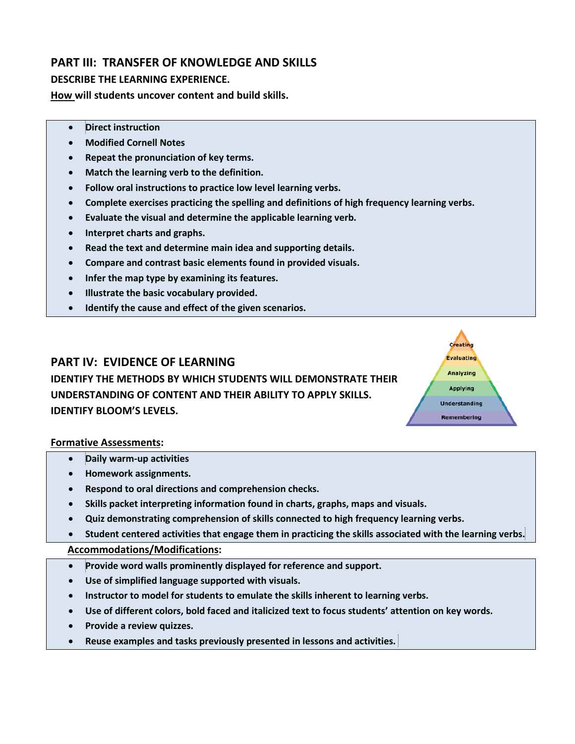## **PART III: TRANSFER OF KNOWLEDGE AND SKILLS**

## **DESCRIBE THE LEARNING EXPERIENCE.**

**How will students uncover content and build skills.** 

- **Direct instruction**
- **Modified Cornell Notes**
- **Repeat the pronunciation of key terms.**
- **Match the learning verb to the definition.**
- **Follow oral instructions to practice low level learning verbs.**
- **Complete exercises practicing the spelling and definitions of high frequency learning verbs.**
- **Evaluate the visual and determine the applicable learning verb.**
- **Interpret charts and graphs.**
- **Read the text and determine main idea and supporting details.**
- **Compare and contrast basic elements found in provided visuals.**
- **Infer the map type by examining its features.**
- **Illustrate the basic vocabulary provided.**
- **Identify the cause and effect of the given scenarios.**

## **PART IV: EVIDENCE OF LEARNING**

**IDENTIFY THE METHODS BY WHICH STUDENTS WILL DEMONSTRATE THEIR UNDERSTANDING OF CONTENT AND THEIR ABILITY TO APPLY SKILLS. IDENTIFY BLOOM'S LEVELS.** 

#### **Formative Assessments:**

- **Daily warm-up activities**
- **Homework assignments.**
- **Respond to oral directions and comprehension checks.**
- **Skills packet interpreting information found in charts, graphs, maps and visuals.**
- **Quiz demonstrating comprehension of skills connected to high frequency learning verbs.**
- **Student centered activities that engage them in practicing the skills associated with the learning verbs.**

Creating Evaluating Analyzing **Applying Understanding** Remembering

- **Provide word walls prominently displayed for reference and support.**
- **Use of simplified language supported with visuals.**
- **Instructor to model for students to emulate the skills inherent to learning verbs.**
- **Use of different colors, bold faced and italicized text to focus students' attention on key words.**
- **Provide a review quizzes.**
- **Reuse examples and tasks previously presented in lessons and activities.**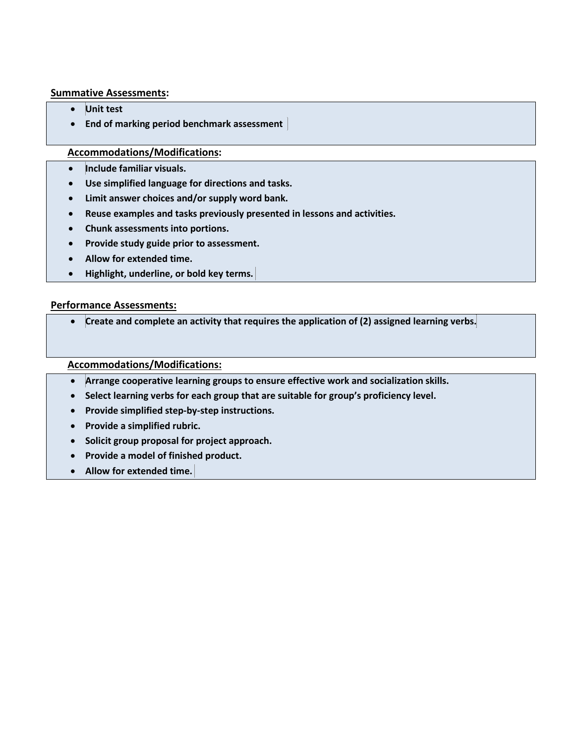#### **Summative Assessments:**

- **Unit test**
- **End of marking period benchmark assessment**

## **Accommodations/Modifications:**

- **Include familiar visuals.**
- **Use simplified language for directions and tasks.**
- **Limit answer choices and/or supply word bank.**
- **Reuse examples and tasks previously presented in lessons and activities.**
- **Chunk assessments into portions.**
- **Provide study guide prior to assessment.**
- **Allow for extended time.**
- **Highlight, underline, or bold key terms.**

#### **Performance Assessments:**

• **Create and complete an activity that requires the application of (2) assigned learning verbs.**

- **Arrange cooperative learning groups to ensure effective work and socialization skills.**
- **Select learning verbs for each group that are suitable for group's proficiency level.**
- **Provide simplified step-by-step instructions.**
- **Provide a simplified rubric.**
- **Solicit group proposal for project approach.**
- **Provide a model of finished product.**
- **Allow for extended time.**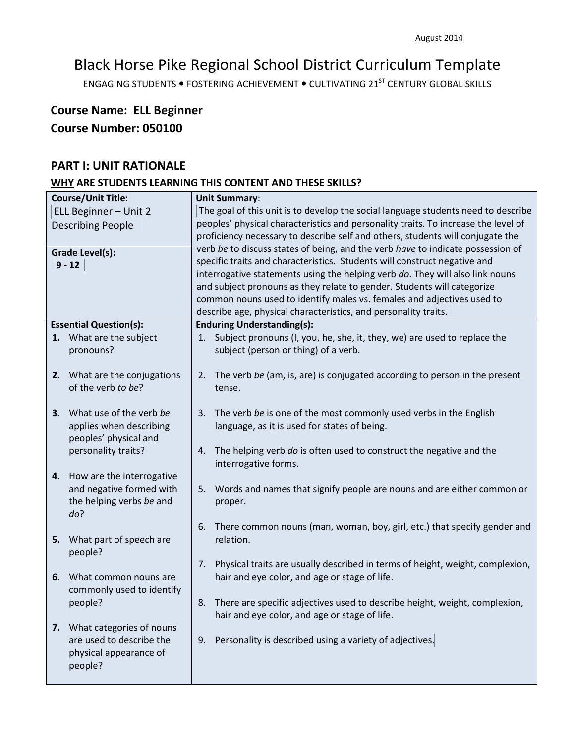ENGAGING STUDENTS . FOSTERING ACHIEVEMENT . CULTIVATING 21<sup>ST</sup> CENTURY GLOBAL SKILLS

# **Course Name: ELL Beginner Course Number: 050100**

## **PART I: UNIT RATIONALE**

| The goal of this unit is to develop the social language students need to describe<br>peoples' physical characteristics and personality traits. To increase the level of<br>proficiency necessary to describe self and others, students will conjugate the<br>verb be to discuss states of being, and the verb have to indicate possession of<br>interrogative statements using the helping verb do. They will also link nouns |
|-------------------------------------------------------------------------------------------------------------------------------------------------------------------------------------------------------------------------------------------------------------------------------------------------------------------------------------------------------------------------------------------------------------------------------|
|                                                                                                                                                                                                                                                                                                                                                                                                                               |
|                                                                                                                                                                                                                                                                                                                                                                                                                               |
|                                                                                                                                                                                                                                                                                                                                                                                                                               |
|                                                                                                                                                                                                                                                                                                                                                                                                                               |
|                                                                                                                                                                                                                                                                                                                                                                                                                               |
|                                                                                                                                                                                                                                                                                                                                                                                                                               |
|                                                                                                                                                                                                                                                                                                                                                                                                                               |
|                                                                                                                                                                                                                                                                                                                                                                                                                               |
|                                                                                                                                                                                                                                                                                                                                                                                                                               |
|                                                                                                                                                                                                                                                                                                                                                                                                                               |
|                                                                                                                                                                                                                                                                                                                                                                                                                               |
|                                                                                                                                                                                                                                                                                                                                                                                                                               |
|                                                                                                                                                                                                                                                                                                                                                                                                                               |
| 2. The verb be (am, is, are) is conjugated according to person in the present                                                                                                                                                                                                                                                                                                                                                 |
|                                                                                                                                                                                                                                                                                                                                                                                                                               |
|                                                                                                                                                                                                                                                                                                                                                                                                                               |
|                                                                                                                                                                                                                                                                                                                                                                                                                               |
|                                                                                                                                                                                                                                                                                                                                                                                                                               |
|                                                                                                                                                                                                                                                                                                                                                                                                                               |
|                                                                                                                                                                                                                                                                                                                                                                                                                               |
|                                                                                                                                                                                                                                                                                                                                                                                                                               |
|                                                                                                                                                                                                                                                                                                                                                                                                                               |
| Words and names that signify people are nouns and are either common or                                                                                                                                                                                                                                                                                                                                                        |
|                                                                                                                                                                                                                                                                                                                                                                                                                               |
|                                                                                                                                                                                                                                                                                                                                                                                                                               |
| There common nouns (man, woman, boy, girl, etc.) that specify gender and                                                                                                                                                                                                                                                                                                                                                      |
|                                                                                                                                                                                                                                                                                                                                                                                                                               |
|                                                                                                                                                                                                                                                                                                                                                                                                                               |
| Physical traits are usually described in terms of height, weight, complexion,                                                                                                                                                                                                                                                                                                                                                 |
|                                                                                                                                                                                                                                                                                                                                                                                                                               |
|                                                                                                                                                                                                                                                                                                                                                                                                                               |
| There are specific adjectives used to describe height, weight, complexion,                                                                                                                                                                                                                                                                                                                                                    |
|                                                                                                                                                                                                                                                                                                                                                                                                                               |
|                                                                                                                                                                                                                                                                                                                                                                                                                               |
|                                                                                                                                                                                                                                                                                                                                                                                                                               |
|                                                                                                                                                                                                                                                                                                                                                                                                                               |
|                                                                                                                                                                                                                                                                                                                                                                                                                               |
| common nouns used to identify males vs. females and adjectives used to<br>Subject pronouns (I, you, he, she, it, they, we) are used to replace the                                                                                                                                                                                                                                                                            |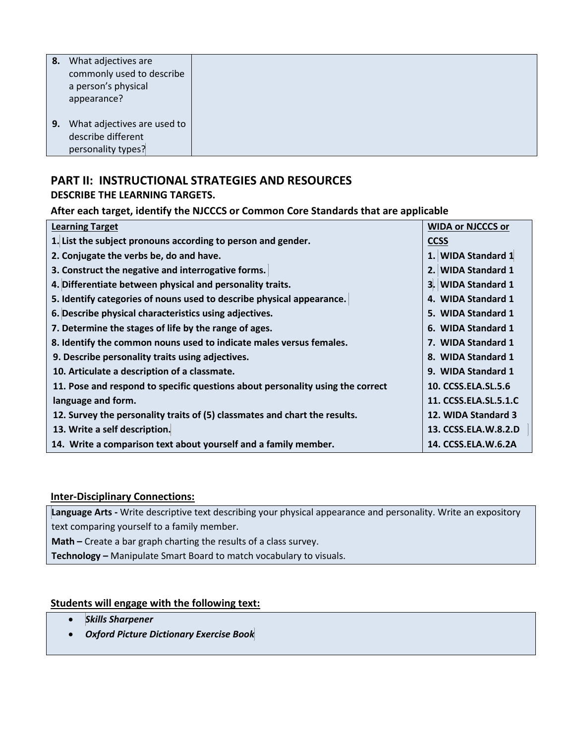| 8. | What adjectives are<br>commonly used to describe<br>a person's physical<br>appearance? |
|----|----------------------------------------------------------------------------------------|
| 9. | What adjectives are used to<br>describe different<br>personality types?                |

## **PART II: INSTRUCTIONAL STRATEGIES AND RESOURCES**

**DESCRIBE THE LEARNING TARGETS.** 

## **After each target, identify the NJCCCS or Common Core Standards that are applicable**

| <b>Learning Target</b>                                                         | <b>WIDA or NJCCCS or</b> |
|--------------------------------------------------------------------------------|--------------------------|
| 1. List the subject pronouns according to person and gender.                   | <b>CCSS</b>              |
| 2. Conjugate the verbs be, do and have.                                        | 1. WIDA Standard 1       |
| 3. Construct the negative and interrogative forms.                             | 2. WIDA Standard 1       |
| 4. Differentiate between physical and personality traits.                      | 3. WIDA Standard 1       |
| 5. Identify categories of nouns used to describe physical appearance.          | 4. WIDA Standard 1       |
| 6. Describe physical characteristics using adjectives.                         | 5. WIDA Standard 1       |
| 7. Determine the stages of life by the range of ages.                          | 6. WIDA Standard 1       |
| 8. Identify the common nouns used to indicate males versus females.            | 7. WIDA Standard 1       |
| 9. Describe personality traits using adjectives.                               | 8. WIDA Standard 1       |
| 10. Articulate a description of a classmate.                                   | 9. WIDA Standard 1       |
| 11. Pose and respond to specific questions about personality using the correct | 10. CCSS.ELA.SL.5.6      |
| language and form.                                                             | 11. CCSS.ELA.SL.5.1.C    |
| 12. Survey the personality traits of (5) classmates and chart the results.     | 12. WIDA Standard 3      |
| 13. Write a self description.                                                  | 13. CCSS.ELA.W.8.2.D     |
| 14. Write a comparison text about yourself and a family member.                | 14. CCSS.ELA.W.6.2A      |

## **Inter-Disciplinary Connections:**

**Language Arts -** Write descriptive text describing your physical appearance and personality. Write an expository text comparing yourself to a family member.

**Math –** Create a bar graph charting the results of a class survey.

**Technology –** Manipulate Smart Board to match vocabulary to visuals.

## **Students will engage with the following text:**

- *Skills Sharpener*
- *Oxford Picture Dictionary Exercise Book*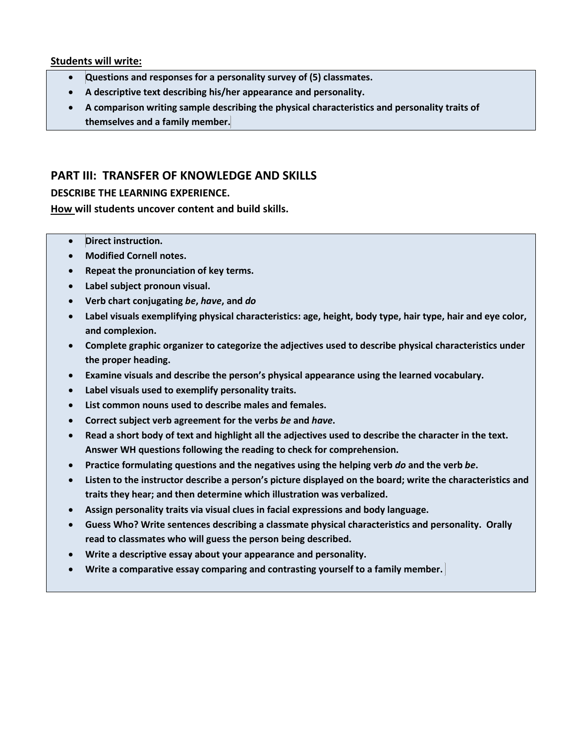#### **Students will write:**

- **Questions and responses for a personality survey of (5) classmates.**
- **A descriptive text describing his/her appearance and personality.**
- **A comparison writing sample describing the physical characteristics and personality traits of themselves and a family member.**

## **PART III: TRANSFER OF KNOWLEDGE AND SKILLS**

### **DESCRIBE THE LEARNING EXPERIENCE.**

**How will students uncover content and build skills.** 

- **Direct instruction.**
- **Modified Cornell notes.**
- **Repeat the pronunciation of key terms.**
- **Label subject pronoun visual.**
- **Verb chart conjugating** *be***,** *have***, and** *do*
- **Label visuals exemplifying physical characteristics: age, height, body type, hair type, hair and eye color, and complexion.**
- **Complete graphic organizer to categorize the adjectives used to describe physical characteristics under the proper heading.**
- **Examine visuals and describe the person's physical appearance using the learned vocabulary.**
- **Label visuals used to exemplify personality traits.**
- **List common nouns used to describe males and females.**
- **Correct subject verb agreement for the verbs** *be* **and** *have***.**
- **Read a short body of text and highlight all the adjectives used to describe the character in the text. Answer WH questions following the reading to check for comprehension.**
- **Practice formulating questions and the negatives using the helping verb** *do* **and the verb** *be***.**
- **Listen to the instructor describe a person's picture displayed on the board; write the characteristics and traits they hear; and then determine which illustration was verbalized.**
- **Assign personality traits via visual clues in facial expressions and body language.**
- **Guess Who? Write sentences describing a classmate physical characteristics and personality. Orally read to classmates who will guess the person being described.**
- **Write a descriptive essay about your appearance and personality.**
- **Write a comparative essay comparing and contrasting yourself to a family member.**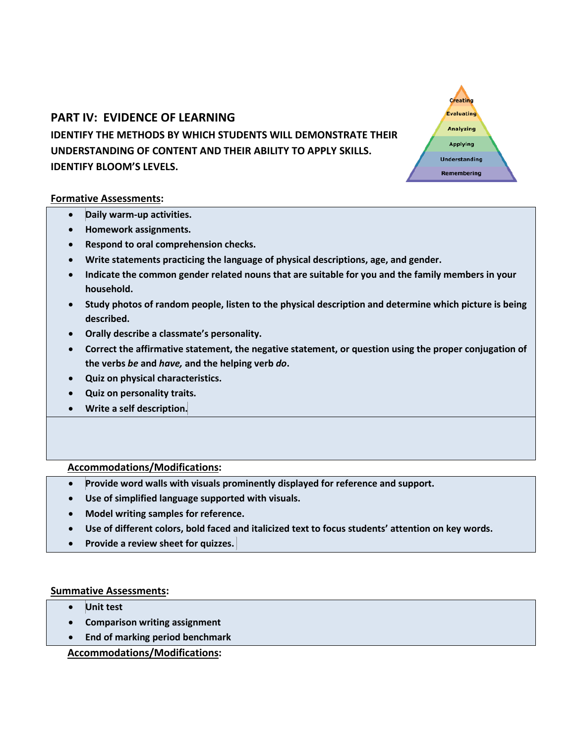## **PART IV: EVIDENCE OF LEARNING**

## **IDENTIFY THE METHODS BY WHICH STUDENTS WILL DEMONSTRATE THEIR UNDERSTANDING OF CONTENT AND THEIR ABILITY TO APPLY SKILLS. IDENTIFY BLOOM'S LEVELS.**

Creating Evaluating Analyzing Applying **Understanding Remembering** 

#### **Formative Assessments:**

- **Daily warm-up activities.**
- **Homework assignments.**
- **Respond to oral comprehension checks.**
- **Write statements practicing the language of physical descriptions, age, and gender.**
- **Indicate the common gender related nouns that are suitable for you and the family members in your household.**
- **Study photos of random people, listen to the physical description and determine which picture is being described.**
- **Orally describe a classmate's personality.**
- **Correct the affirmative statement, the negative statement, or question using the proper conjugation of the verbs** *be* **and** *have,* **and the helping verb** *do***.**
- **Quiz on physical characteristics.**
- **Quiz on personality traits.**
- **Write a self description.**

## **Accommodations/Modifications:**

- **Provide word walls with visuals prominently displayed for reference and support.**
- **Use of simplified language supported with visuals.**
- **Model writing samples for reference.**
- **Use of different colors, bold faced and italicized text to focus students' attention on key words.**
- **Provide a review sheet for quizzes.**

## **Summative Assessments:**

- **Unit test**
- **Comparison writing assignment**
- **End of marking period benchmark**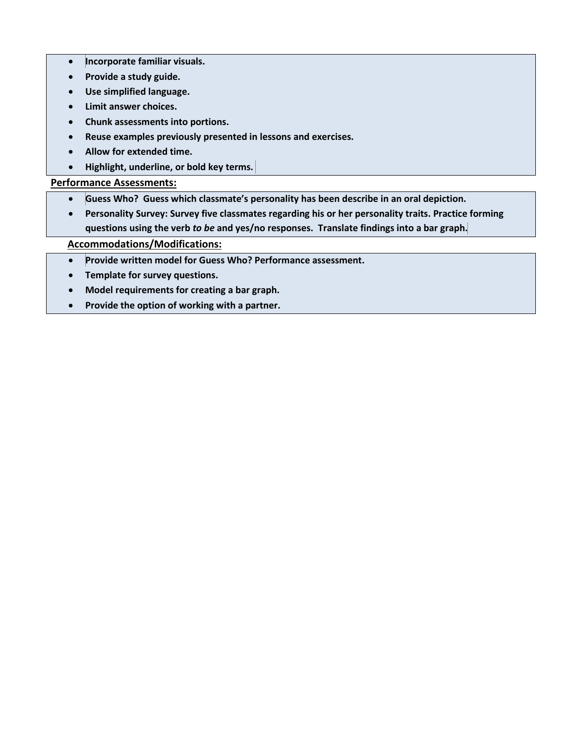- **Incorporate familiar visuals.**
- **Provide a study guide.**
- **Use simplified language.**
- **Limit answer choices.**
- **Chunk assessments into portions.**
- **Reuse examples previously presented in lessons and exercises.**
- **Allow for extended time.**
- **Highlight, underline, or bold key terms.**

## **Performance Assessments:**

- **Guess Who? Guess which classmate's personality has been describe in an oral depiction.**
- **Personality Survey: Survey five classmates regarding his or her personality traits. Practice forming questions using the verb** *to be* **and yes/no responses. Translate findings into a bar graph.**

- **Provide written model for Guess Who? Performance assessment.**
- **Template for survey questions.**
- **Model requirements for creating a bar graph.**
- **Provide the option of working with a partner.**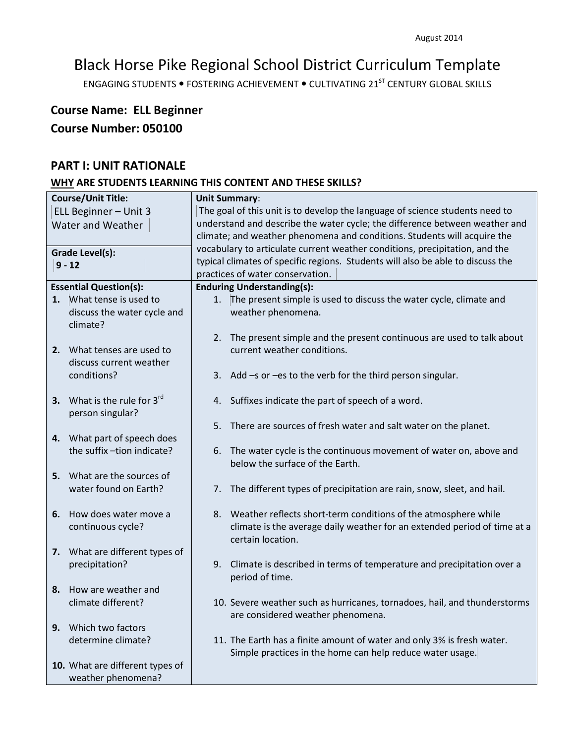ENGAGING STUDENTS . FOSTERING ACHIEVEMENT . CULTIVATING 21<sup>ST</sup> CENTURY GLOBAL SKILLS

# **Course Name: ELL Beginner Course Number: 050100**

## **PART I: UNIT RATIONALE**

|                       | <b>Course/Unit Title:</b>       |                                                                              | <b>Unit Summary:</b>                                                            |  |
|-----------------------|---------------------------------|------------------------------------------------------------------------------|---------------------------------------------------------------------------------|--|
| ELL Beginner - Unit 3 |                                 | The goal of this unit is to develop the language of science students need to |                                                                                 |  |
|                       |                                 |                                                                              | understand and describe the water cycle; the difference between weather and     |  |
| Water and Weather     |                                 |                                                                              | climate; and weather phenomena and conditions. Students will acquire the        |  |
|                       |                                 |                                                                              |                                                                                 |  |
|                       | Grade Level(s):                 |                                                                              | vocabulary to articulate current weather conditions, precipitation, and the     |  |
|                       | $9 - 12$                        |                                                                              | typical climates of specific regions. Students will also be able to discuss the |  |
|                       |                                 |                                                                              | practices of water conservation.                                                |  |
|                       | <b>Essential Question(s):</b>   |                                                                              | <b>Enduring Understanding(s):</b>                                               |  |
| 1.                    | What tense is used to           | 1.                                                                           | The present simple is used to discuss the water cycle, climate and              |  |
|                       | discuss the water cycle and     |                                                                              | weather phenomena.                                                              |  |
|                       | climate?                        |                                                                              |                                                                                 |  |
|                       |                                 |                                                                              | 2. The present simple and the present continuous are used to talk about         |  |
|                       | 2. What tenses are used to      |                                                                              | current weather conditions.                                                     |  |
|                       | discuss current weather         |                                                                              |                                                                                 |  |
|                       | conditions?                     |                                                                              | 3. Add -s or -es to the verb for the third person singular.                     |  |
|                       |                                 |                                                                              |                                                                                 |  |
|                       | 3. What is the rule for $3rd$   |                                                                              | 4. Suffixes indicate the part of speech of a word.                              |  |
|                       | person singular?                |                                                                              |                                                                                 |  |
|                       |                                 |                                                                              | 5. There are sources of fresh water and salt water on the planet.               |  |
|                       | 4. What part of speech does     |                                                                              |                                                                                 |  |
|                       | the suffix-tion indicate?       |                                                                              | 6. The water cycle is the continuous movement of water on, above and            |  |
|                       |                                 |                                                                              | below the surface of the Earth.                                                 |  |
|                       | 5. What are the sources of      |                                                                              |                                                                                 |  |
|                       | water found on Earth?           |                                                                              |                                                                                 |  |
|                       |                                 | 7.                                                                           | The different types of precipitation are rain, snow, sleet, and hail.           |  |
|                       |                                 |                                                                              |                                                                                 |  |
| 6.                    | How does water move a           |                                                                              | 8. Weather reflects short-term conditions of the atmosphere while               |  |
|                       | continuous cycle?               |                                                                              | climate is the average daily weather for an extended period of time at a        |  |
|                       |                                 |                                                                              | certain location.                                                               |  |
|                       | 7. What are different types of  |                                                                              |                                                                                 |  |
|                       | precipitation?                  | 9.                                                                           | Climate is described in terms of temperature and precipitation over a           |  |
|                       |                                 |                                                                              | period of time.                                                                 |  |
| 8.                    | How are weather and             |                                                                              |                                                                                 |  |
|                       | climate different?              |                                                                              | 10. Severe weather such as hurricanes, tornadoes, hail, and thunderstorms       |  |
|                       |                                 |                                                                              | are considered weather phenomena.                                               |  |
|                       | 9. Which two factors            |                                                                              |                                                                                 |  |
|                       | determine climate?              |                                                                              | 11. The Earth has a finite amount of water and only 3% is fresh water.          |  |
|                       |                                 |                                                                              | Simple practices in the home can help reduce water usage.                       |  |
|                       | 10. What are different types of |                                                                              |                                                                                 |  |
|                       | weather phenomena?              |                                                                              |                                                                                 |  |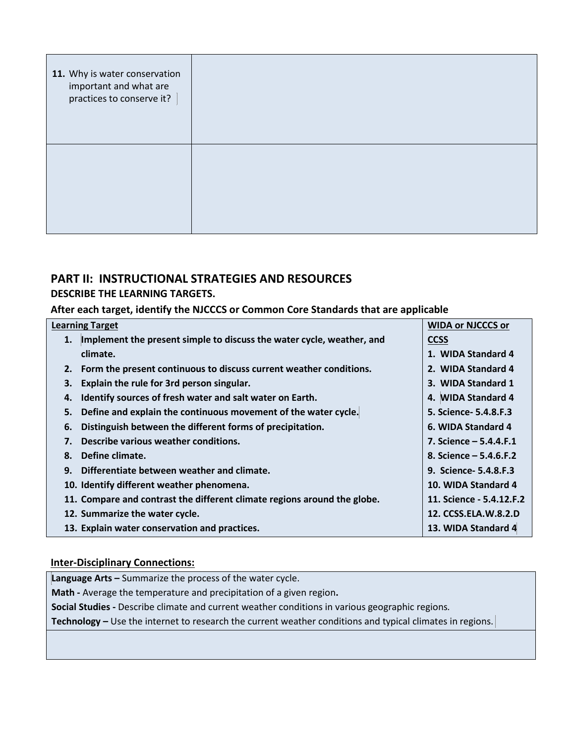| 11. Why is water conservation<br>important and what are<br>practices to conserve it? |  |
|--------------------------------------------------------------------------------------|--|
|                                                                                      |  |

## **PART II: INSTRUCTIONAL STRATEGIES AND RESOURCES**

## **DESCRIBE THE LEARNING TARGETS.**

## **After each target, identify the NJCCCS or Common Core Standards that are applicable**

| <b>Learning Target</b>                                                      | <b>WIDA or NJCCCS or</b> |
|-----------------------------------------------------------------------------|--------------------------|
| Implement the present simple to discuss the water cycle, weather, and<br>1. | <b>CCSS</b>              |
| climate.                                                                    | 1. WIDA Standard 4       |
| Form the present continuous to discuss current weather conditions.<br>2.    | 2. WIDA Standard 4       |
| Explain the rule for 3rd person singular.<br>3.                             | 3. WIDA Standard 1       |
| Identify sources of fresh water and salt water on Earth.<br>4.              | 4. WIDA Standard 4       |
| Define and explain the continuous movement of the water cycle.<br>5.        | 5. Science - 5.4.8.F.3   |
| Distinguish between the different forms of precipitation.<br>6.             | 6. WIDA Standard 4       |
| Describe various weather conditions.<br>7.                                  | 7. Science $-5.4.4.$ F.1 |
| Define climate.<br>8.                                                       | 8. Science $-5.4.6.$ F.2 |
| Differentiate between weather and climate.<br>9.                            | 9. Science- 5.4.8.F.3    |
| 10. Identify different weather phenomena.                                   | 10. WIDA Standard 4      |
| 11. Compare and contrast the different climate regions around the globe.    | 11. Science - 5.4.12.F.2 |
| 12. Summarize the water cycle.                                              | 12. CCSS.ELA.W.8.2.D     |
| 13. Explain water conservation and practices.                               | 13. WIDA Standard 4      |

## **Inter-Disciplinary Connections:**

**Language Arts –** Summarize the process of the water cycle.

**Math -** Average the temperature and precipitation of a given region**.**

**Social Studies -** Describe climate and current weather conditions in various geographic regions*.* 

**Technology –** Use the internet to research the current weather conditions and typical climates in regions.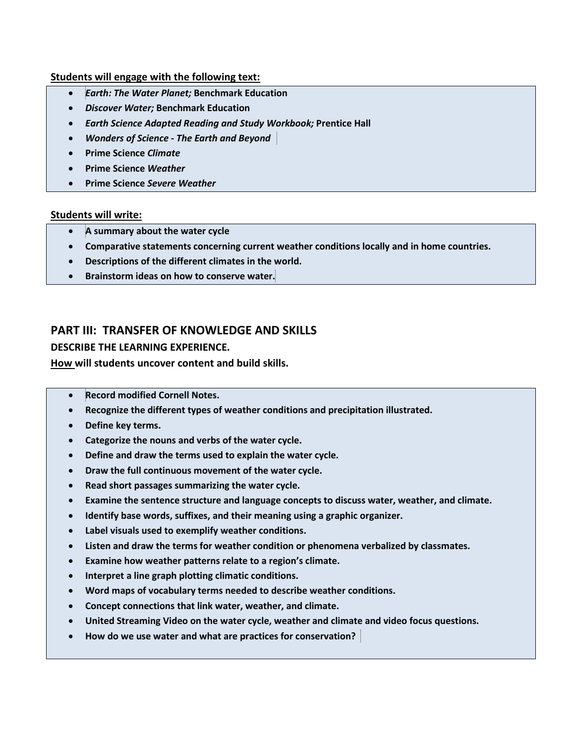#### **Students will engage with the following text:**

- *Earth: The Water Planet;* **Benchmark Education**
- *Discover Water;* **Benchmark Education**
- *Earth Science Adapted Reading and Study Workbook;* **Prentice Hall**
- *Wonders of Science* **-** *The Earth and Beyond*
- **Prime Science** *Climate*
- **Prime Science** *Weather*
- **Prime Science** *Severe Weather*

#### **Students will write:**

- **A summary about the water cycle**
- **Comparative statements concerning current weather conditions locally and in home countries.**
- **Descriptions of the different climates in the world.**
- **Brainstorm ideas on how to conserve water.**

## **PART III: TRANSFER OF KNOWLEDGE AND SKILLS**

#### **DESCRIBE THE LEARNING EXPERIENCE.**

**How will students uncover content and build skills.** 

- **Record modified Cornell Notes.**
- **Recognize the different types of weather conditions and precipitation illustrated.**
- **Define key terms.**
- **Categorize the nouns and verbs of the water cycle.**
- **Define and draw the terms used to explain the water cycle.**
- **Draw the full continuous movement of the water cycle.**
- **Read short passages summarizing the water cycle.**
- **Examine the sentence structure and language concepts to discuss water, weather, and climate.**
- **Identify base words, suffixes, and their meaning using a graphic organizer.**
- **Label visuals used to exemplify weather conditions.**
- **Listen and draw the terms for weather condition or phenomena verbalized by classmates.**
- **Examine how weather patterns relate to a region's climate.**
- **Interpret a line graph plotting climatic conditions.**
- **Word maps of vocabulary terms needed to describe weather conditions.**
- **Concept connections that link water, weather, and climate.**
- **United Streaming Video on the water cycle, weather and climate and video focus questions.**
- **How do we use water and what are practices for conservation?**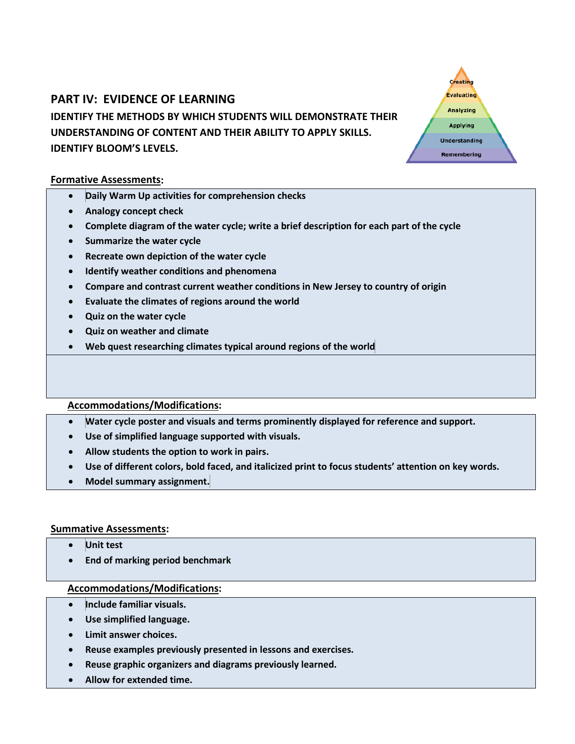# **PART IV: EVIDENCE OF LEARNING IDENTIFY THE METHODS BY WHICH STUDENTS WILL DEMONSTRATE THEIR UNDERSTANDING OF CONTENT AND THEIR ABILITY TO APPLY SKILLS. IDENTIFY BLOOM'S LEVELS.**

#### **Formative Assessments:**

- **Daily Warm Up activities for comprehension checks**
- **Analogy concept check**
- **Complete diagram of the water cycle; write a brief description for each part of the cycle**

Creating Evaluating Analyzing **Applying Understanding** Remembering

- **Summarize the water cycle**
- **Recreate own depiction of the water cycle**
- **Identify weather conditions and phenomena**
- **Compare and contrast current weather conditions in New Jersey to country of origin**
- **Evaluate the climates of regions around the world**
- **Quiz on the water cycle**
- **Quiz on weather and climate**
- **Web quest researching climates typical around regions of the world**

#### **Accommodations/Modifications:**

- **Water cycle poster and visuals and terms prominently displayed for reference and support.**
- **Use of simplified language supported with visuals.**
- **Allow students the option to work in pairs.**
- **Use of different colors, bold faced, and italicized print to focus students' attention on key words.**
- **Model summary assignment.**

#### **Summative Assessments:**

- **Unit test**
- **End of marking period benchmark**

- **Include familiar visuals.**
- **Use simplified language.**
- **Limit answer choices.**
- **Reuse examples previously presented in lessons and exercises.**
- **Reuse graphic organizers and diagrams previously learned.**
- **Allow for extended time.**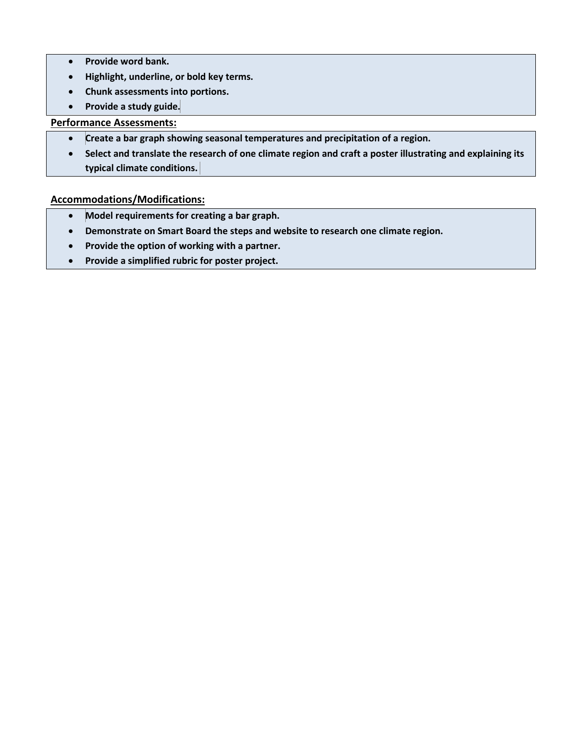- **Provide word bank.**
- **Highlight, underline, or bold key terms.**
- **Chunk assessments into portions.**
- **Provide a study guide.**

### **Performance Assessments:**

- **Create a bar graph showing seasonal temperatures and precipitation of a region.**
- **Select and translate the research of one climate region and craft a poster illustrating and explaining its typical climate conditions.**

- **Model requirements for creating a bar graph.**
- **Demonstrate on Smart Board the steps and website to research one climate region.**
- **Provide the option of working with a partner.**
- **Provide a simplified rubric for poster project.**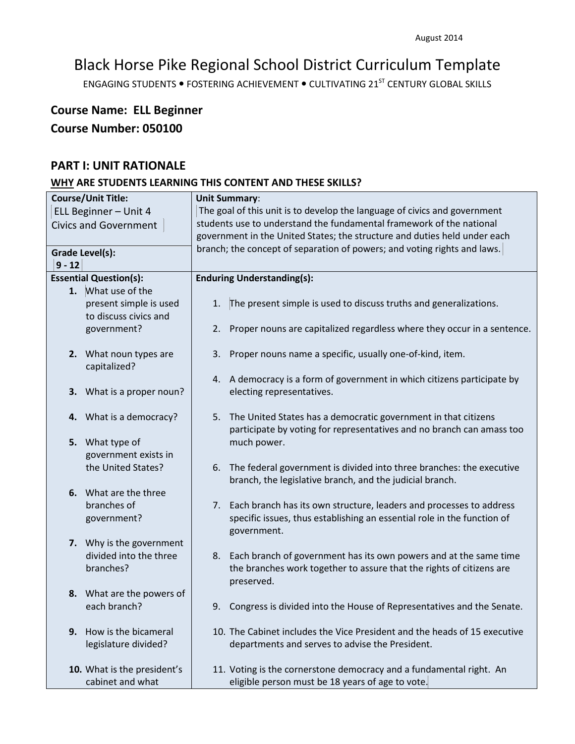ENGAGING STUDENTS . FOSTERING ACHIEVEMENT . CULTIVATING 21<sup>ST</sup> CENTURY GLOBAL SKILLS

# **Course Name: ELL Beginner Course Number: 050100**

## **PART I: UNIT RATIONALE**

| <b>Course/Unit Title:</b> |                               | <b>Unit Summary:</b>                                                      |                                                                           |  |
|---------------------------|-------------------------------|---------------------------------------------------------------------------|---------------------------------------------------------------------------|--|
| ELL Beginner - Unit 4     |                               | The goal of this unit is to develop the language of civics and government |                                                                           |  |
|                           | <b>Civics and Government</b>  |                                                                           | students use to understand the fundamental framework of the national      |  |
|                           |                               |                                                                           | government in the United States; the structure and duties held under each |  |
|                           | <b>Grade Level(s):</b>        |                                                                           | branch; the concept of separation of powers; and voting rights and laws.  |  |
| $9 - 12$                  |                               |                                                                           |                                                                           |  |
|                           | <b>Essential Question(s):</b> |                                                                           | <b>Enduring Understanding(s):</b>                                         |  |
|                           |                               |                                                                           |                                                                           |  |
|                           | 1. What use of the            |                                                                           |                                                                           |  |
|                           | present simple is used        | 1.                                                                        | The present simple is used to discuss truths and generalizations.         |  |
|                           | to discuss civics and         |                                                                           |                                                                           |  |
|                           | government?                   | 2.                                                                        | Proper nouns are capitalized regardless where they occur in a sentence.   |  |
|                           |                               |                                                                           |                                                                           |  |
|                           | 2. What noun types are        | 3.                                                                        | Proper nouns name a specific, usually one-of-kind, item.                  |  |
|                           | capitalized?                  |                                                                           |                                                                           |  |
|                           |                               |                                                                           | 4. A democracy is a form of government in which citizens participate by   |  |
| 3.                        | What is a proper noun?        |                                                                           | electing representatives.                                                 |  |
|                           |                               |                                                                           |                                                                           |  |
|                           |                               |                                                                           |                                                                           |  |
|                           | 4. What is a democracy?       | 5.                                                                        | The United States has a democratic government in that citizens            |  |
|                           |                               |                                                                           | participate by voting for representatives and no branch can amass too     |  |
| 5.                        | What type of                  |                                                                           | much power.                                                               |  |
|                           | government exists in          |                                                                           |                                                                           |  |
|                           | the United States?            | 6.                                                                        | The federal government is divided into three branches: the executive      |  |
|                           |                               |                                                                           | branch, the legislative branch, and the judicial branch.                  |  |
|                           | 6. What are the three         |                                                                           |                                                                           |  |
|                           | branches of                   | 7.                                                                        | Each branch has its own structure, leaders and processes to address       |  |
|                           | government?                   |                                                                           | specific issues, thus establishing an essential role in the function of   |  |
|                           |                               |                                                                           | government.                                                               |  |
|                           | 7. Why is the government      |                                                                           |                                                                           |  |
|                           |                               |                                                                           |                                                                           |  |
|                           | divided into the three        | 8.                                                                        | Each branch of government has its own powers and at the same time         |  |
|                           | branches?                     |                                                                           | the branches work together to assure that the rights of citizens are      |  |
|                           |                               |                                                                           | preserved.                                                                |  |
|                           | 8. What are the powers of     |                                                                           |                                                                           |  |
|                           | each branch?                  | 9.                                                                        | Congress is divided into the House of Representatives and the Senate.     |  |
|                           |                               |                                                                           |                                                                           |  |
| 9.                        | How is the bicameral          |                                                                           | 10. The Cabinet includes the Vice President and the heads of 15 executive |  |
|                           | legislature divided?          |                                                                           | departments and serves to advise the President.                           |  |
|                           |                               |                                                                           |                                                                           |  |
|                           | 10. What is the president's   |                                                                           | 11. Voting is the cornerstone democracy and a fundamental right. An       |  |
|                           | cabinet and what              |                                                                           | eligible person must be 18 years of age to vote.                          |  |
|                           |                               |                                                                           |                                                                           |  |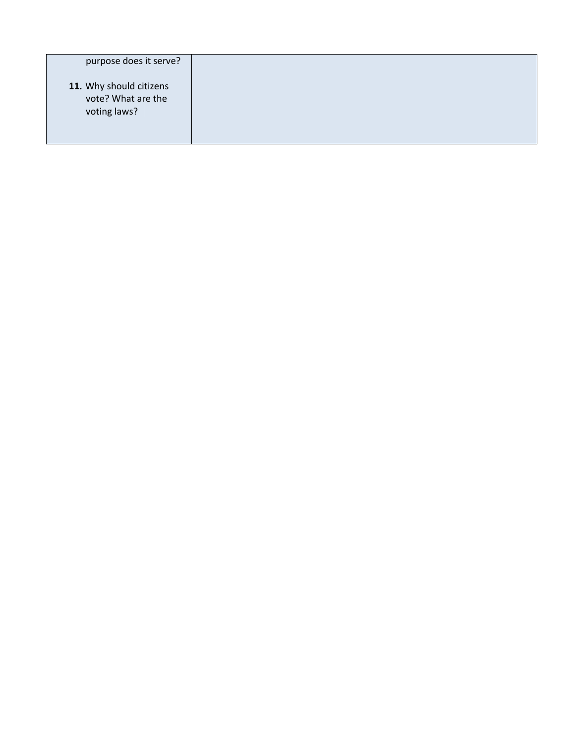| purpose does it serve?                                        |  |
|---------------------------------------------------------------|--|
| 11. Why should citizens<br>vote? What are the<br>voting laws? |  |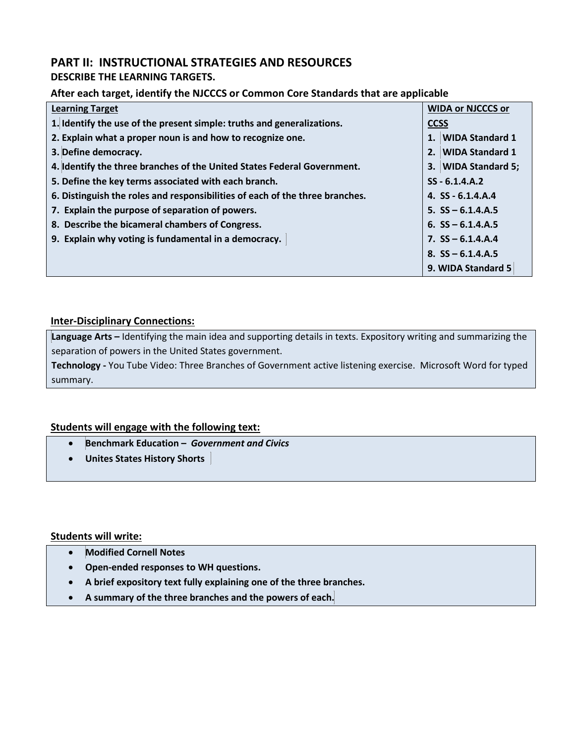## **PART II: INSTRUCTIONAL STRATEGIES AND RESOURCES**

## **DESCRIBE THE LEARNING TARGETS.**

## **After each target, identify the NJCCCS or Common Core Standards that are applicable**

| <b>Learning Target</b>                                                       | <b>WIDA or NJCCCS or</b> |
|------------------------------------------------------------------------------|--------------------------|
| 1. Identify the use of the present simple: truths and generalizations.       | <b>CCSS</b>              |
| 2. Explain what a proper noun is and how to recognize one.                   | 1. WIDA Standard 1       |
| 3. Define democracy.                                                         | 2. WIDA Standard 1       |
| 4. Identify the three branches of the United States Federal Government.      | 3. WIDA Standard 5;      |
| 5. Define the key terms associated with each branch.                         | $SS - 6.1.4. A.2$        |
| 6. Distinguish the roles and responsibilities of each of the three branches. | 4. $SS - 6.1.4.A.4$      |
| 7. Explain the purpose of separation of powers.                              | $5.$ SS $-6.1.4.A.5$     |
| 8. Describe the bicameral chambers of Congress.                              | 6. $SS - 6.1.4.A.5$      |
| 9. Explain why voting is fundamental in a democracy.                         | 7. $SS - 6.1.4.A.4$      |
|                                                                              | 8. $SS - 6.1.4.A.5$      |
|                                                                              | 9. WIDA Standard 5       |

## **Inter-Disciplinary Connections:**

**Language Arts –** Identifying the main idea and supporting details in texts. Expository writing and summarizing the separation of powers in the United States government.

**Technology -** You Tube Video: Three Branches of Government active listening exercise. Microsoft Word for typed summary.

## **Students will engage with the following text:**

- **Benchmark Education –** *Government and Civics*
- **Unites States History Shorts**

#### **Students will write:**

- **Modified Cornell Notes**
- **Open-ended responses to WH questions.**
- **A brief expository text fully explaining one of the three branches.**
- **A summary of the three branches and the powers of each.**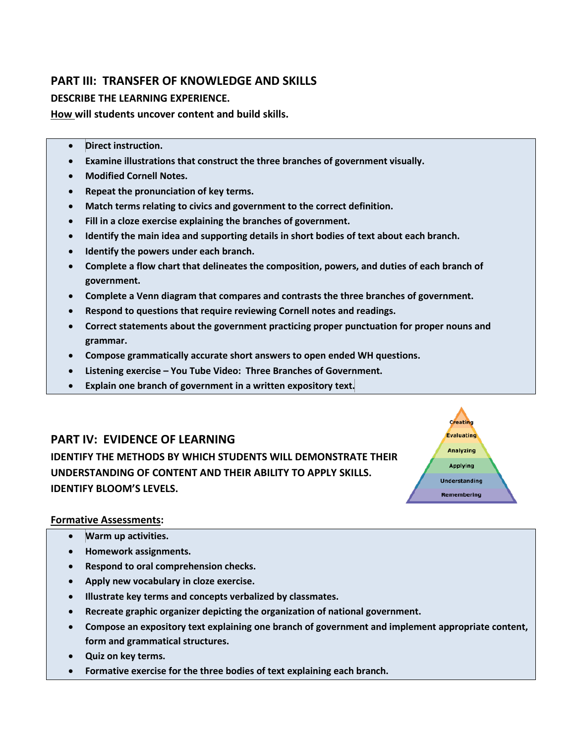## **PART III: TRANSFER OF KNOWLEDGE AND SKILLS**

## **DESCRIBE THE LEARNING EXPERIENCE.**

**How will students uncover content and build skills.** 

- **Direct instruction.**
- **Examine illustrations that construct the three branches of government visually.**
- **Modified Cornell Notes.**
- **Repeat the pronunciation of key terms.**
- **Match terms relating to civics and government to the correct definition.**
- **Fill in a cloze exercise explaining the branches of government.**
- **Identify the main idea and supporting details in short bodies of text about each branch.**
- **Identify the powers under each branch.**
- **Complete a flow chart that delineates the composition, powers, and duties of each branch of government.**
- **Complete a Venn diagram that compares and contrasts the three branches of government.**
- **Respond to questions that require reviewing Cornell notes and readings.**
- **Correct statements about the government practicing proper punctuation for proper nouns and grammar.**

Creating Evaluating **Analyzing** Applying **Understanding** Remembering

- **Compose grammatically accurate short answers to open ended WH questions.**
- **Listening exercise – You Tube Video: Three Branches of Government.**
- **Explain one branch of government in a written expository text.**

## **PART IV: EVIDENCE OF LEARNING**

**IDENTIFY THE METHODS BY WHICH STUDENTS WILL DEMONSTRATE THEIR UNDERSTANDING OF CONTENT AND THEIR ABILITY TO APPLY SKILLS. IDENTIFY BLOOM'S LEVELS.** 

#### **Formative Assessments:**

- **Warm up activities.**
- **Homework assignments.**
- **Respond to oral comprehension checks.**
- **Apply new vocabulary in cloze exercise.**
- **Illustrate key terms and concepts verbalized by classmates.**
- **Recreate graphic organizer depicting the organization of national government.**
- **Compose an expository text explaining one branch of government and implement appropriate content, form and grammatical structures.**
- **Quiz on key terms.**
- **Formative exercise for the three bodies of text explaining each branch.**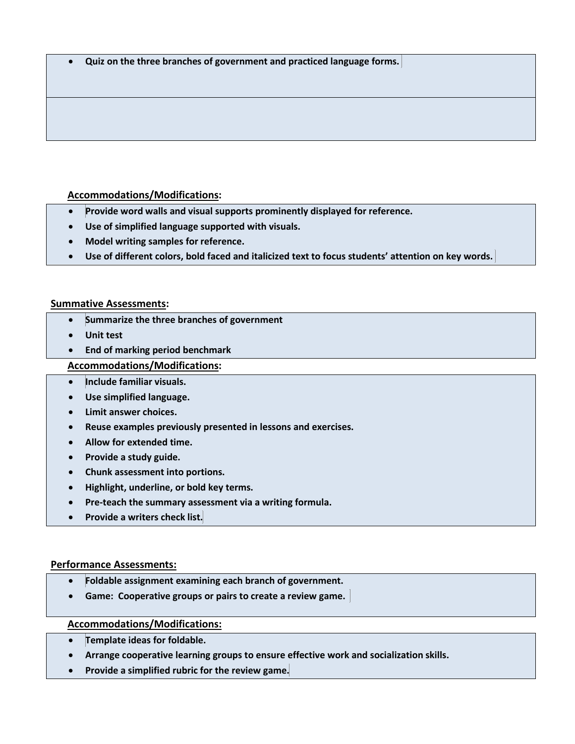• **Quiz on the three branches of government and practiced language forms.**

## **Accommodations/Modifications:**

- **Provide word walls and visual supports prominently displayed for reference.**
- **Use of simplified language supported with visuals.**
- **Model writing samples for reference.**
- **Use of different colors, bold faced and italicized text to focus students' attention on key words.**

#### **Summative Assessments:**

- **Summarize the three branches of government**
- **Unit test**
- **End of marking period benchmark**

### **Accommodations/Modifications:**

- **Include familiar visuals.**
- **Use simplified language.**
- **Limit answer choices.**
- **Reuse examples previously presented in lessons and exercises.**
- **Allow for extended time.**
- **Provide a study guide.**
- **Chunk assessment into portions.**
- **Highlight, underline, or bold key terms.**
- **Pre-teach the summary assessment via a writing formula.**
- **Provide a writers check list.**

#### **Performance Assessments:**

- **Foldable assignment examining each branch of government.**
- **Game: Cooperative groups or pairs to create a review game.**

- **Template ideas for foldable.**
- **Arrange cooperative learning groups to ensure effective work and socialization skills.**
- **Provide a simplified rubric for the review game.**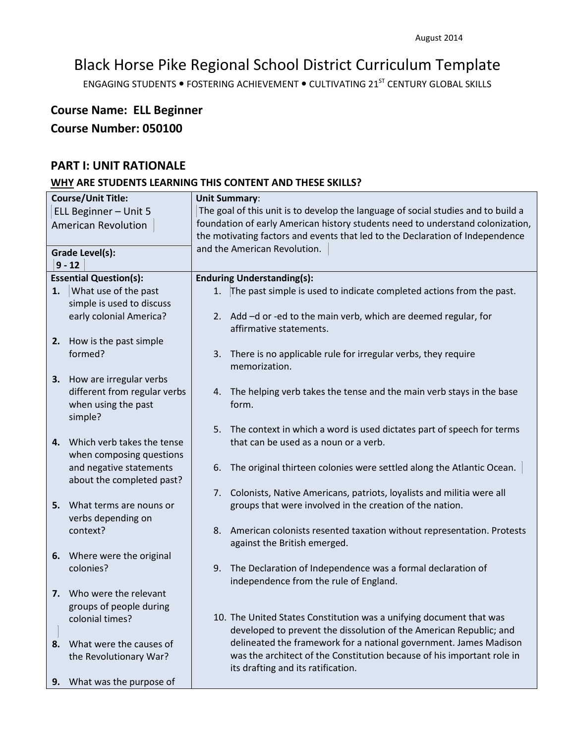ENGAGING STUDENTS . FOSTERING ACHIEVEMENT . CULTIVATING 21<sup>ST</sup> CENTURY GLOBAL SKILLS

# **Course Name: ELL Beginner Course Number: 050100**

## **PART I: UNIT RATIONALE**

| <b>Course/Unit Title:</b>  |                                                     | <b>Unit Summary:</b>                                                                                                 |  |  |
|----------------------------|-----------------------------------------------------|----------------------------------------------------------------------------------------------------------------------|--|--|
| ELL Beginner - Unit 5      |                                                     | The goal of this unit is to develop the language of social studies and to build a                                    |  |  |
| <b>American Revolution</b> |                                                     | foundation of early American history students need to understand colonization,                                       |  |  |
|                            |                                                     | the motivating factors and events that led to the Declaration of Independence                                        |  |  |
|                            | <b>Grade Level(s):</b>                              | and the American Revolution.                                                                                         |  |  |
|                            | $9 - 12$                                            |                                                                                                                      |  |  |
|                            | <b>Essential Question(s):</b>                       | <b>Enduring Understanding(s):</b>                                                                                    |  |  |
| 1.                         | What use of the past                                | The past simple is used to indicate completed actions from the past.<br>1.                                           |  |  |
|                            | simple is used to discuss                           |                                                                                                                      |  |  |
|                            | early colonial America?                             | 2. Add -d or -ed to the main verb, which are deemed regular, for<br>affirmative statements.                          |  |  |
|                            | 2. How is the past simple                           |                                                                                                                      |  |  |
|                            | formed?                                             | 3. There is no applicable rule for irregular verbs, they require<br>memorization.                                    |  |  |
|                            | 3. How are irregular verbs                          |                                                                                                                      |  |  |
|                            | different from regular verbs<br>when using the past | The helping verb takes the tense and the main verb stays in the base<br>4.<br>form.                                  |  |  |
|                            | simple?                                             |                                                                                                                      |  |  |
|                            | 4. Which verb takes the tense                       | The context in which a word is used dictates part of speech for terms<br>5.<br>that can be used as a noun or a verb. |  |  |
|                            | when composing questions<br>and negative statements | The original thirteen colonies were settled along the Atlantic Ocean.<br>6.                                          |  |  |
|                            | about the completed past?                           |                                                                                                                      |  |  |
|                            |                                                     | 7. Colonists, Native Americans, patriots, loyalists and militia were all                                             |  |  |
|                            | 5. What terms are nouns or                          | groups that were involved in the creation of the nation.                                                             |  |  |
|                            | verbs depending on                                  |                                                                                                                      |  |  |
|                            | context?                                            | American colonists resented taxation without representation. Protests<br>8.<br>against the British emerged.          |  |  |
|                            | 6. Where were the original                          |                                                                                                                      |  |  |
|                            | colonies?                                           | 9. The Declaration of Independence was a formal declaration of<br>independence from the rule of England.             |  |  |
|                            | 7. Who were the relevant                            |                                                                                                                      |  |  |
|                            | groups of people during                             |                                                                                                                      |  |  |
|                            | colonial times?                                     | 10. The United States Constitution was a unifying document that was                                                  |  |  |
|                            |                                                     | developed to prevent the dissolution of the American Republic; and                                                   |  |  |
| 8.                         | What were the causes of                             | delineated the framework for a national government. James Madison                                                    |  |  |
|                            | the Revolutionary War?                              | was the architect of the Constitution because of his important role in<br>its drafting and its ratification.         |  |  |
| 9.                         | What was the purpose of                             |                                                                                                                      |  |  |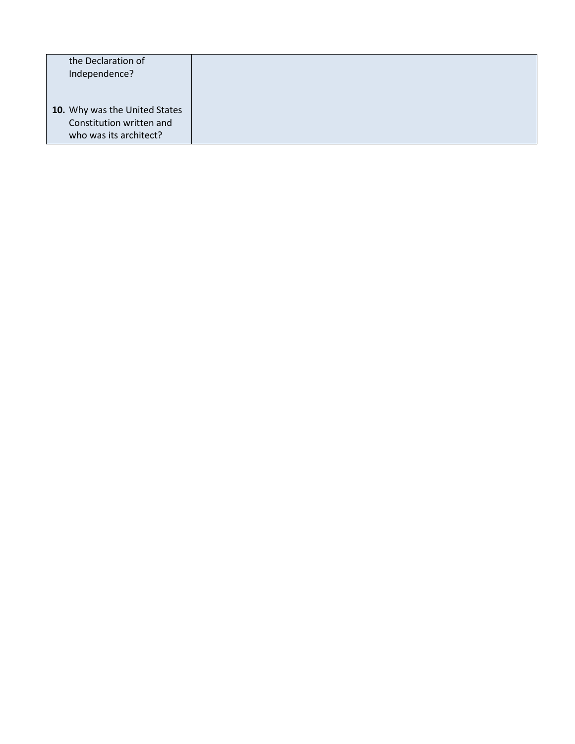| the Declaration of<br>Independence?                                                 |  |
|-------------------------------------------------------------------------------------|--|
| 10. Why was the United States<br>Constitution written and<br>who was its architect? |  |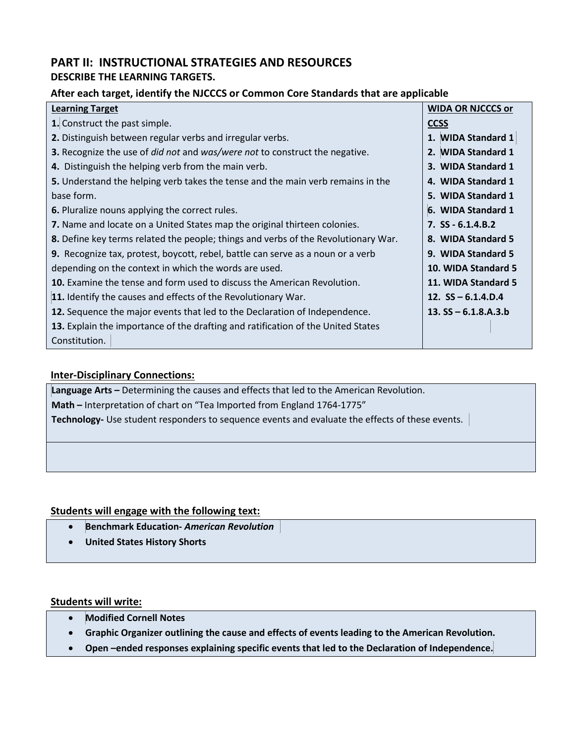## **PART II: INSTRUCTIONAL STRATEGIES AND RESOURCES DESCRIBE THE LEARNING TARGETS.**

### **After each target, identify the NJCCCS or Common Core Standards that are applicable**

| <b>Learning Target</b>                                                                           | <b>WIDA OR NJCCCS or</b> |
|--------------------------------------------------------------------------------------------------|--------------------------|
| 1. Construct the past simple.                                                                    | <b>CCSS</b>              |
| 2. Distinguish between regular verbs and irregular verbs.                                        | 1. WIDA Standard 1       |
| <b>3.</b> Recognize the use of <i>did not</i> and <i>was/were not</i> to construct the negative. | 2. WIDA Standard 1       |
| 4. Distinguish the helping verb from the main verb.                                              | 3. WIDA Standard 1       |
| 5. Understand the helping verb takes the tense and the main verb remains in the                  | 4. WIDA Standard 1       |
| base form.                                                                                       | 5. WIDA Standard 1       |
| 6. Pluralize nouns applying the correct rules.                                                   | 6. WIDA Standard 1       |
| 7. Name and locate on a United States map the original thirteen colonies.                        | $7.$ SS - 6.1.4.B.2      |
| 8. Define key terms related the people; things and verbs of the Revolutionary War.               | 8. WIDA Standard 5       |
| <b>9.</b> Recognize tax, protest, boycott, rebel, battle can serve as a noun or a verb           | 9. WIDA Standard 5       |
| depending on the context in which the words are used.                                            | 10. WIDA Standard 5      |
| <b>10.</b> Examine the tense and form used to discuss the American Revolution.                   | 11. WIDA Standard 5      |
| 11. Identify the causes and effects of the Revolutionary War.                                    | 12. $SS - 6.1.4.D.4$     |
| <b>12.</b> Sequence the major events that led to the Declaration of Independence.                | 13. $SS - 6.1.8.A.3.b$   |
| 13. Explain the importance of the drafting and ratification of the United States                 |                          |
| Constitution.                                                                                    |                          |

## **Inter-Disciplinary Connections:**

**Language Arts –** Determining the causes and effects that led to the American Revolution. **Math –** Interpretation of chart on "Tea Imported from England 1764-1775" **Technology-** Use student responders to sequence events and evaluate the effects of these events.

#### **Students will engage with the following text:**

- **Benchmark Education-** *American Revolution*
- **United States History Shorts**

#### **Students will write:**

- **Modified Cornell Notes**
- **Graphic Organizer outlining the cause and effects of events leading to the American Revolution.**
- **Open –ended responses explaining specific events that led to the Declaration of Independence.**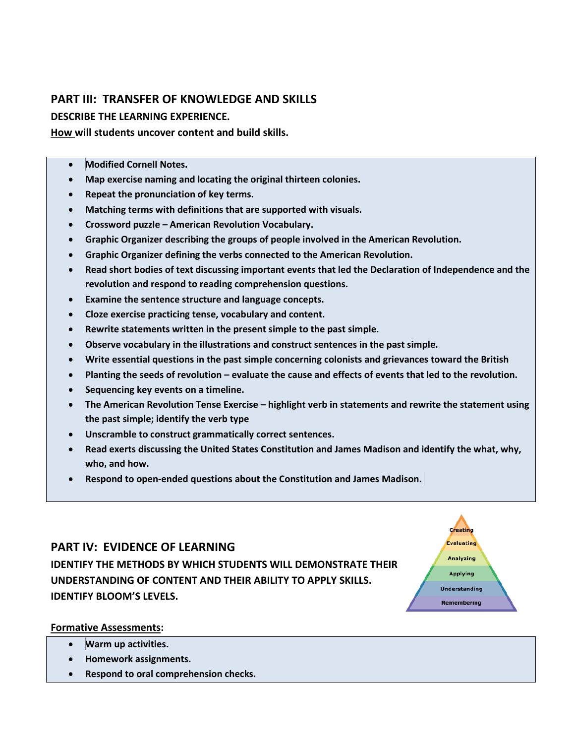## **PART III: TRANSFER OF KNOWLEDGE AND SKILLS**

## **DESCRIBE THE LEARNING EXPERIENCE.**

**How will students uncover content and build skills.** 

- **Modified Cornell Notes.**
- **Map exercise naming and locating the original thirteen colonies.**
- **Repeat the pronunciation of key terms.**
- **Matching terms with definitions that are supported with visuals.**
- **Crossword puzzle – American Revolution Vocabulary.**
- **Graphic Organizer describing the groups of people involved in the American Revolution.**
- **Graphic Organizer defining the verbs connected to the American Revolution.**
- **Read short bodies of text discussing important events that led the Declaration of Independence and the revolution and respond to reading comprehension questions.**
- **Examine the sentence structure and language concepts.**
- **Cloze exercise practicing tense, vocabulary and content.**
- **Rewrite statements written in the present simple to the past simple.**
- **Observe vocabulary in the illustrations and construct sentences in the past simple.**
- **Write essential questions in the past simple concerning colonists and grievances toward the British**
- **Planting the seeds of revolution – evaluate the cause and effects of events that led to the revolution.**
- **Sequencing key events on a timeline.**
- **The American Revolution Tense Exercise – highlight verb in statements and rewrite the statement using the past simple; identify the verb type**
- **Unscramble to construct grammatically correct sentences.**
- **Read exerts discussing the United States Constitution and James Madison and identify the what, why, who, and how.**

Creating Evaluating **Analyzing** Applying **Understanding** Remembering

• **Respond to open-ended questions about the Constitution and James Madison.**

## **PART IV: EVIDENCE OF LEARNING**

**IDENTIFY THE METHODS BY WHICH STUDENTS WILL DEMONSTRATE THEIR UNDERSTANDING OF CONTENT AND THEIR ABILITY TO APPLY SKILLS. IDENTIFY BLOOM'S LEVELS.** 

## **Formative Assessments:**

- **Warm up activities.**
- **Homework assignments.**
- **Respond to oral comprehension checks.**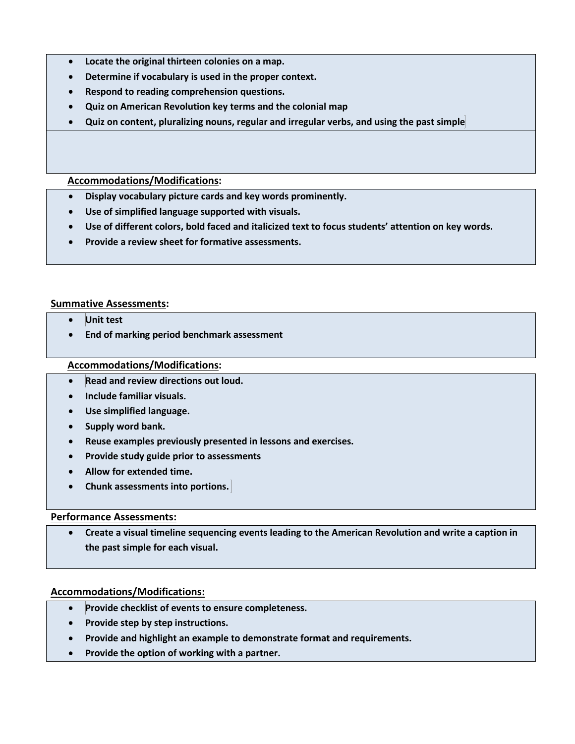- **Locate the original thirteen colonies on a map.**
- **Determine if vocabulary is used in the proper context.**
- **Respond to reading comprehension questions.**
- **Quiz on American Revolution key terms and the colonial map**
- **Quiz on content, pluralizing nouns, regular and irregular verbs, and using the past simple**

#### **Accommodations/Modifications:**

- **Display vocabulary picture cards and key words prominently.**
- **Use of simplified language supported with visuals.**
- **Use of different colors, bold faced and italicized text to focus students' attention on key words.**
- **Provide a review sheet for formative assessments.**

#### **Summative Assessments:**

- **Unit test**
- **End of marking period benchmark assessment**

#### **Accommodations/Modifications:**

- **Read and review directions out loud.**
- **Include familiar visuals.**
- **Use simplified language.**
- **Supply word bank.**
- **Reuse examples previously presented in lessons and exercises.**
- **Provide study guide prior to assessments**
- **Allow for extended time.**
- **Chunk assessments into portions.**

#### **Performance Assessments:**

• **Create a visual timeline sequencing events leading to the American Revolution and write a caption in the past simple for each visual.**

- **Provide checklist of events to ensure completeness.**
- **Provide step by step instructions.**
- **Provide and highlight an example to demonstrate format and requirements.**
- **Provide the option of working with a partner.**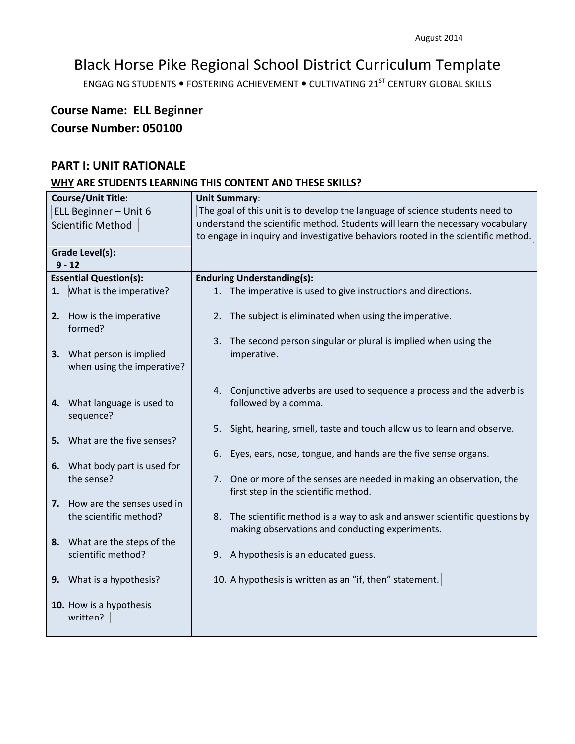ENGAGING STUDENTS . FOSTERING ACHIEVEMENT . CULTIVATING 21<sup>ST</sup> CENTURY GLOBAL SKILLS

# **Course Name: ELL Beginner Course Number: 050100**

## **PART I: UNIT RATIONALE**

| <b>Course/Unit Title:</b> |                                                    | <b>Unit Summary:</b>                                                              |  |  |
|---------------------------|----------------------------------------------------|-----------------------------------------------------------------------------------|--|--|
| ELL Beginner - Unit 6     |                                                    | The goal of this unit is to develop the language of science students need to      |  |  |
| Scientific Method         |                                                    | understand the scientific method. Students will learn the necessary vocabulary    |  |  |
|                           |                                                    | to engage in inquiry and investigative behaviors rooted in the scientific method. |  |  |
|                           | <b>Grade Level(s):</b>                             |                                                                                   |  |  |
|                           | $9 - 12$                                           |                                                                                   |  |  |
|                           | <b>Essential Question(s):</b>                      | <b>Enduring Understanding(s):</b>                                                 |  |  |
|                           | 1. What is the imperative?                         | The imperative is used to give instructions and directions.<br>1.                 |  |  |
|                           |                                                    |                                                                                   |  |  |
|                           | 2. How is the imperative                           | 2. The subject is eliminated when using the imperative.                           |  |  |
|                           | formed?                                            |                                                                                   |  |  |
|                           |                                                    | The second person singular or plural is implied when using the<br>3.              |  |  |
|                           | 3. What person is implied                          | imperative.                                                                       |  |  |
|                           | when using the imperative?                         |                                                                                   |  |  |
|                           |                                                    |                                                                                   |  |  |
|                           |                                                    | 4. Conjunctive adverbs are used to sequence a process and the adverb is           |  |  |
|                           | 4. What language is used to                        | followed by a comma.                                                              |  |  |
|                           | sequence?                                          |                                                                                   |  |  |
|                           |                                                    | Sight, hearing, smell, taste and touch allow us to learn and observe.<br>5.       |  |  |
|                           | 5. What are the five senses?                       |                                                                                   |  |  |
|                           |                                                    | Eyes, ears, nose, tongue, and hands are the five sense organs.<br>6.              |  |  |
|                           | 6. What body part is used for                      |                                                                                   |  |  |
|                           | the sense?                                         | One or more of the senses are needed in making an observation, the<br>7.          |  |  |
|                           |                                                    | first step in the scientific method.                                              |  |  |
|                           | 7. How are the senses used in                      |                                                                                   |  |  |
|                           | the scientific method?                             | 8. The scientific method is a way to ask and answer scientific questions by       |  |  |
|                           |                                                    | making observations and conducting experiments.                                   |  |  |
|                           | 8. What are the steps of the<br>scientific method? |                                                                                   |  |  |
|                           |                                                    | 9. A hypothesis is an educated guess.                                             |  |  |
|                           | 9. What is a hypothesis?                           | 10. A hypothesis is written as an "if, then" statement.                           |  |  |
|                           |                                                    |                                                                                   |  |  |
|                           | 10. How is a hypothesis                            |                                                                                   |  |  |
|                           | written?                                           |                                                                                   |  |  |
|                           |                                                    |                                                                                   |  |  |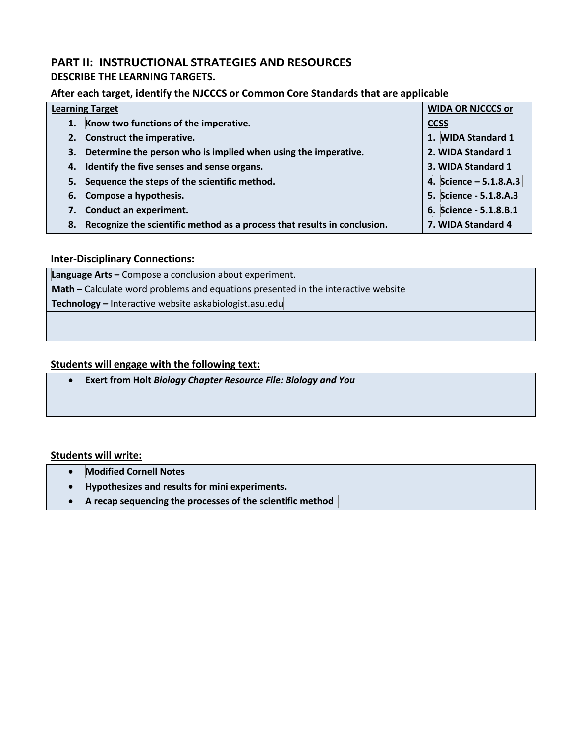## **PART II: INSTRUCTIONAL STRATEGIES AND RESOURCES**

## **DESCRIBE THE LEARNING TARGETS.**

## **After each target, identify the NJCCCS or Common Core Standards that are applicable**

| <b>Learning Target</b>                                                         | <b>WIDA OR NJCCCS or</b> |
|--------------------------------------------------------------------------------|--------------------------|
| 1. Know two functions of the imperative.                                       | <b>CCSS</b>              |
| 2. Construct the imperative.                                                   | 1. WIDA Standard 1       |
| Determine the person who is implied when using the imperative.<br>3.           | 2. WIDA Standard 1       |
| 4. Identify the five senses and sense organs.                                  | 3. WIDA Standard 1       |
| 5. Sequence the steps of the scientific method.                                | 4. Science - 5.1.8.A.3   |
| 6. Compose a hypothesis.                                                       | 5. Science - 5.1.8.A.3   |
| 7. Conduct an experiment.                                                      | 6. Science - 5.1.8.B.1   |
| Recognize the scientific method as a process that results in conclusion.<br>8. | 7. WIDA Standard 4       |

### **Inter-Disciplinary Connections:**

**Language Arts –** Compose a conclusion about experiment. **Math –** Calculate word problems and equations presented in the interactive website **Technology –** Interactive website askabiologist.asu.edu

### **Students will engage with the following text:**

• **Exert from Holt** *Biology Chapter Resource File: Biology and You*

## **Students will write:**

- **Modified Cornell Notes**
- **Hypothesizes and results for mini experiments.**
- **A recap sequencing the processes of the scientific method**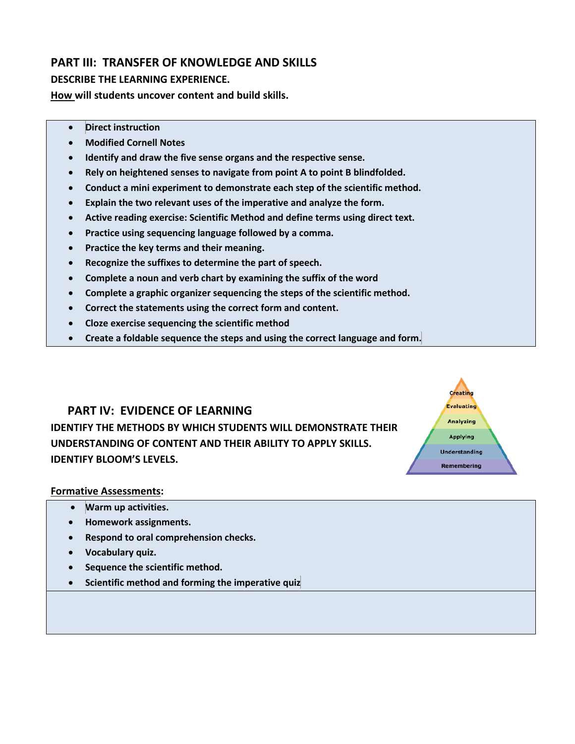## **PART III: TRANSFER OF KNOWLEDGE AND SKILLS**

## **DESCRIBE THE LEARNING EXPERIENCE.**

**How will students uncover content and build skills.** 

- **Direct instruction**
- **Modified Cornell Notes**
- **Identify and draw the five sense organs and the respective sense.**
- **Rely on heightened senses to navigate from point A to point B blindfolded.**
- **Conduct a mini experiment to demonstrate each step of the scientific method.**
- **Explain the two relevant uses of the imperative and analyze the form.**
- **Active reading exercise: Scientific Method and define terms using direct text.**
- **Practice using sequencing language followed by a comma.**
- **Practice the key terms and their meaning.**
- **Recognize the suffixes to determine the part of speech.**
- **Complete a noun and verb chart by examining the suffix of the word**
- **Complete a graphic organizer sequencing the steps of the scientific method.**
- **Correct the statements using the correct form and content.**
- **Cloze exercise sequencing the scientific method**
- **Create a foldable sequence the steps and using the correct language and form.**

Creating Evaluating **Analyzing** Applying **Understanding** Remembering

## **PART IV: EVIDENCE OF LEARNING**

**IDENTIFY THE METHODS BY WHICH STUDENTS WILL DEMONSTRATE THEIR UNDERSTANDING OF CONTENT AND THEIR ABILITY TO APPLY SKILLS. IDENTIFY BLOOM'S LEVELS.** 

# **Formative Assessments:**

- **Warm up activities.**
- **Homework assignments.**
- **Respond to oral comprehension checks.**
- **Vocabulary quiz.**
- **Sequence the scientific method.**
- **Scientific method and forming the imperative quiz**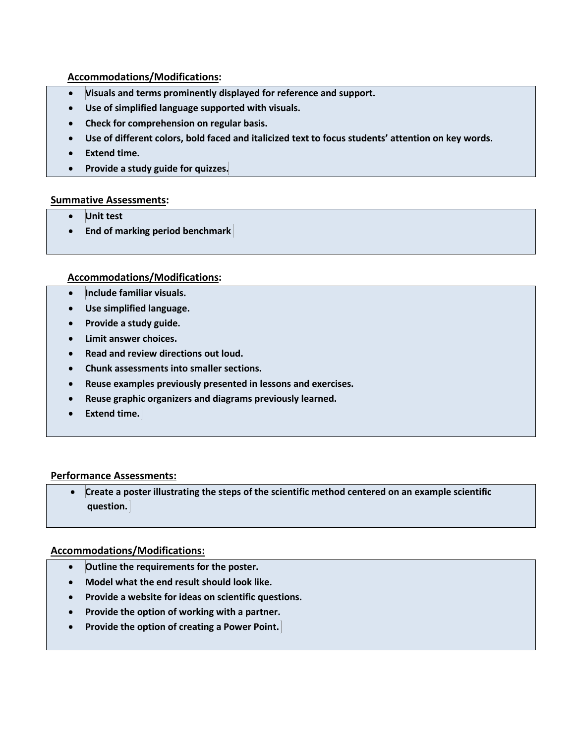## **Accommodations/Modifications:**

- **Visuals and terms prominently displayed for reference and support.**
- **Use of simplified language supported with visuals.**
- **Check for comprehension on regular basis.**
- **Use of different colors, bold faced and italicized text to focus students' attention on key words.**
- **Extend time.**
- **Provide a study guide for quizzes.**

#### **Summative Assessments:**

- **Unit test**
- **End of marking period benchmark**

### **Accommodations/Modifications:**

- **Include familiar visuals.**
- **Use simplified language.**
- **Provide a study guide.**
- **Limit answer choices.**
- **Read and review directions out loud.**
- **Chunk assessments into smaller sections.**
- **Reuse examples previously presented in lessons and exercises.**
- **Reuse graphic organizers and diagrams previously learned.**
- **Extend time.**

## **Performance Assessments:**

• **Create a poster illustrating the steps of the scientific method centered on an example scientific question.**

- **Outline the requirements for the poster.**
- **Model what the end result should look like.**
- **Provide a website for ideas on scientific questions.**
- **Provide the option of working with a partner.**
- **Provide the option of creating a Power Point.**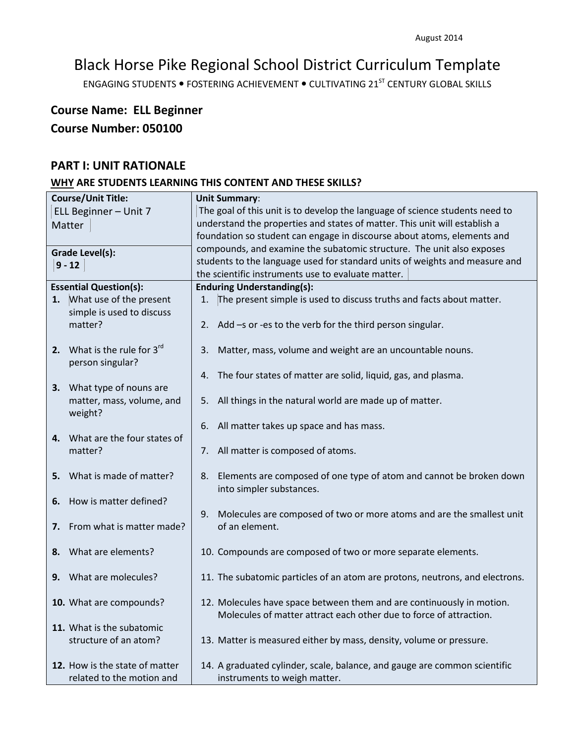ENGAGING STUDENTS . FOSTERING ACHIEVEMENT . CULTIVATING 21<sup>ST</sup> CENTURY GLOBAL SKILLS

# **Course Name: ELL Beginner Course Number: 050100**

## **PART I: UNIT RATIONALE**

| <b>Course/Unit Title:</b> |                                |                                                                              | <b>Unit Summary:</b>                                                         |  |  |
|---------------------------|--------------------------------|------------------------------------------------------------------------------|------------------------------------------------------------------------------|--|--|
| ELL Beginner - Unit 7     |                                | The goal of this unit is to develop the language of science students need to |                                                                              |  |  |
| Matter                    |                                | understand the properties and states of matter. This unit will establish a   |                                                                              |  |  |
|                           |                                |                                                                              | foundation so student can engage in discourse about atoms, elements and      |  |  |
|                           | <b>Grade Level(s):</b>         |                                                                              | compounds, and examine the subatomic structure. The unit also exposes        |  |  |
|                           |                                |                                                                              | students to the language used for standard units of weights and measure and  |  |  |
|                           | $9 - 12$                       |                                                                              | the scientific instruments use to evaluate matter.                           |  |  |
|                           | <b>Essential Question(s):</b>  |                                                                              | <b>Enduring Understanding(s):</b>                                            |  |  |
|                           | 1. What use of the present     | 1.                                                                           | The present simple is used to discuss truths and facts about matter.         |  |  |
|                           | simple is used to discuss      |                                                                              |                                                                              |  |  |
|                           | matter?                        |                                                                              |                                                                              |  |  |
|                           |                                |                                                                              | 2. Add -s or -es to the verb for the third person singular.                  |  |  |
|                           | 2. What is the rule for $3rd$  |                                                                              |                                                                              |  |  |
|                           |                                | 3.                                                                           | Matter, mass, volume and weight are an uncountable nouns.                    |  |  |
|                           | person singular?               |                                                                              |                                                                              |  |  |
|                           |                                | 4.                                                                           | The four states of matter are solid, liquid, gas, and plasma.                |  |  |
|                           | 3. What type of nouns are      |                                                                              |                                                                              |  |  |
|                           | matter, mass, volume, and      | 5.                                                                           | All things in the natural world are made up of matter.                       |  |  |
|                           | weight?                        |                                                                              |                                                                              |  |  |
|                           |                                | 6.                                                                           | All matter takes up space and has mass.                                      |  |  |
|                           | 4. What are the four states of |                                                                              |                                                                              |  |  |
|                           | matter?                        | 7.                                                                           | All matter is composed of atoms.                                             |  |  |
|                           |                                |                                                                              |                                                                              |  |  |
|                           | 5. What is made of matter?     | 8.                                                                           | Elements are composed of one type of atom and cannot be broken down          |  |  |
|                           |                                |                                                                              | into simpler substances.                                                     |  |  |
| 6.                        | How is matter defined?         |                                                                              |                                                                              |  |  |
|                           |                                | 9.                                                                           | Molecules are composed of two or more atoms and are the smallest unit        |  |  |
| 7.                        | From what is matter made?      |                                                                              | of an element.                                                               |  |  |
|                           |                                |                                                                              |                                                                              |  |  |
|                           | 8. What are elements?          |                                                                              | 10. Compounds are composed of two or more separate elements.                 |  |  |
|                           |                                |                                                                              |                                                                              |  |  |
|                           | 9. What are molecules?         |                                                                              | 11. The subatomic particles of an atom are protons, neutrons, and electrons. |  |  |
|                           |                                |                                                                              |                                                                              |  |  |
|                           | 10. What are compounds?        |                                                                              | 12. Molecules have space between them and are continuously in motion.        |  |  |
|                           |                                |                                                                              | Molecules of matter attract each other due to force of attraction.           |  |  |
|                           | 11. What is the subatomic      |                                                                              |                                                                              |  |  |
|                           | structure of an atom?          |                                                                              | 13. Matter is measured either by mass, density, volume or pressure.          |  |  |
|                           |                                |                                                                              |                                                                              |  |  |
|                           | 12. How is the state of matter |                                                                              | 14. A graduated cylinder, scale, balance, and gauge are common scientific    |  |  |
|                           | related to the motion and      |                                                                              | instruments to weigh matter.                                                 |  |  |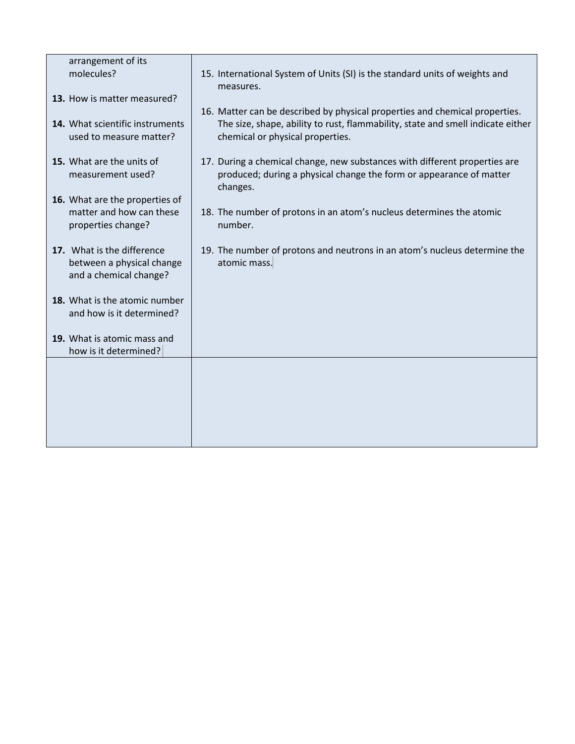| arrangement of its                                                                |                                                                                                                                                               |
|-----------------------------------------------------------------------------------|---------------------------------------------------------------------------------------------------------------------------------------------------------------|
| molecules?                                                                        | 15. International System of Units (SI) is the standard units of weights and<br>measures.                                                                      |
| 13. How is matter measured?                                                       |                                                                                                                                                               |
|                                                                                   | 16. Matter can be described by physical properties and chemical properties.                                                                                   |
| 14. What scientific instruments<br>used to measure matter?                        | The size, shape, ability to rust, flammability, state and smell indicate either<br>chemical or physical properties.                                           |
| 15. What are the units of<br>measurement used?                                    | 17. During a chemical change, new substances with different properties are<br>produced; during a physical change the form or appearance of matter<br>changes. |
| 16. What are the properties of                                                    |                                                                                                                                                               |
| matter and how can these<br>properties change?                                    | 18. The number of protons in an atom's nucleus determines the atomic<br>number.                                                                               |
| 17. What is the difference<br>between a physical change<br>and a chemical change? | 19. The number of protons and neutrons in an atom's nucleus determine the<br>atomic mass.                                                                     |
| 18. What is the atomic number<br>and how is it determined?                        |                                                                                                                                                               |
| 19. What is atomic mass and<br>how is it determined?                              |                                                                                                                                                               |
|                                                                                   |                                                                                                                                                               |
|                                                                                   |                                                                                                                                                               |
|                                                                                   |                                                                                                                                                               |
|                                                                                   |                                                                                                                                                               |
|                                                                                   |                                                                                                                                                               |
|                                                                                   |                                                                                                                                                               |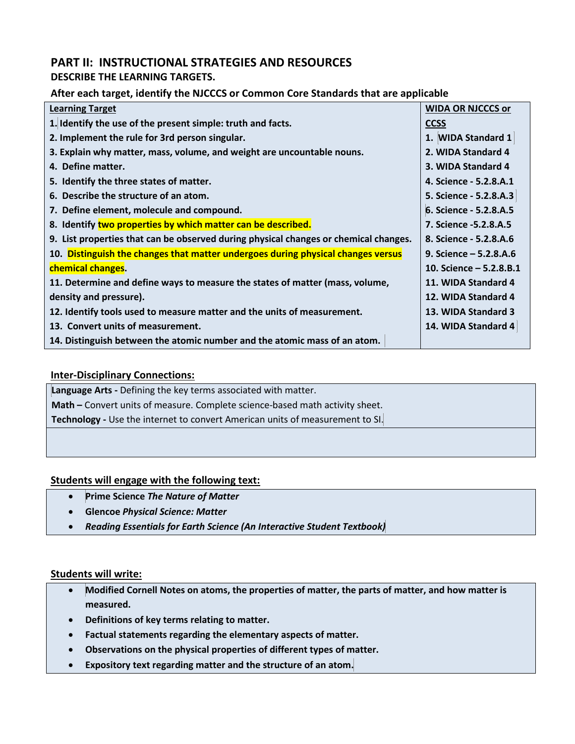## **PART II: INSTRUCTIONAL STRATEGIES AND RESOURCES**

## **DESCRIBE THE LEARNING TARGETS.**

## **After each target, identify the NJCCCS or Common Core Standards that are applicable**

| <b>Learning Target</b>                                                               | <b>WIDA OR NJCCCS or</b> |
|--------------------------------------------------------------------------------------|--------------------------|
| 1. Identify the use of the present simple: truth and facts.                          | <b>CCSS</b>              |
| 2. Implement the rule for 3rd person singular.                                       | 1. WIDA Standard 1       |
| 3. Explain why matter, mass, volume, and weight are uncountable nouns.               | 2. WIDA Standard 4       |
| 4. Define matter.                                                                    | 3. WIDA Standard 4       |
| 5. Identify the three states of matter.                                              | 4. Science - 5.2.8.A.1   |
| 6. Describe the structure of an atom.                                                | 5. Science - 5.2.8.A.3   |
| 7. Define element, molecule and compound.                                            | 6. Science - 5.2.8.A.5   |
| 8. Identify two properties by which matter can be described.                         | 7. Science -5.2.8.A.5    |
| 9. List properties that can be observed during physical changes or chemical changes. | 8. Science - 5.2.8.A.6   |
| 10. Distinguish the changes that matter undergoes during physical changes versus     | 9. Science $-5.2.8.A.6$  |
| chemical changes.                                                                    | 10. Science $-5.2.8.8.1$ |
| 11. Determine and define ways to measure the states of matter (mass, volume,         | 11. WIDA Standard 4      |
| density and pressure).                                                               | 12. WIDA Standard 4      |
| 12. Identify tools used to measure matter and the units of measurement.              | 13. WIDA Standard 3      |
| 13. Convert units of measurement.                                                    | 14. WIDA Standard 4      |
| 14. Distinguish between the atomic number and the atomic mass of an atom.            |                          |

## **Inter-Disciplinary Connections:**

**Language Arts -** Defining the key terms associated with matter. **Math –** Convert units of measure. Complete science-based math activity sheet. **Technology -** Use the internet to convert American units of measurement to SI.

## **Students will engage with the following text:**

- **Prime Science** *The Nature of Matter*
- **Glencoe** *Physical Science: Matter*
- *Reading Essentials for Earth Science (An Interactive Student Textbook)*

#### **Students will write:**

- **Modified Cornell Notes on atoms, the properties of matter, the parts of matter, and how matter is measured.**
- **Definitions of key terms relating to matter.**
- **Factual statements regarding the elementary aspects of matter.**
- **Observations on the physical properties of different types of matter.**
- **Expository text regarding matter and the structure of an atom.**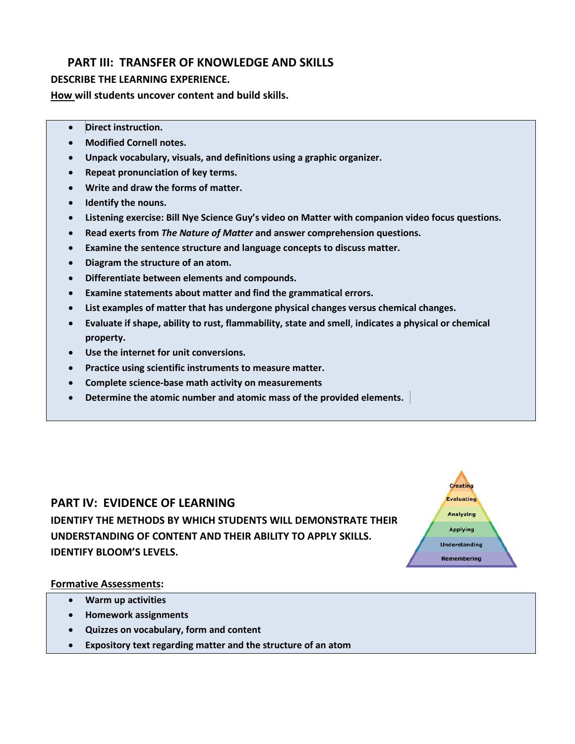## **PART III: TRANSFER OF KNOWLEDGE AND SKILLS**

## **DESCRIBE THE LEARNING EXPERIENCE.**

**How will students uncover content and build skills.** 

- **Direct instruction.**
- **Modified Cornell notes.**
- **Unpack vocabulary, visuals, and definitions using a graphic organizer.**
- **Repeat pronunciation of key terms.**
- **Write and draw the forms of matter.**
- **Identify the nouns.**
- **Listening exercise: Bill Nye Science Guy's video on Matter with companion video focus questions.**
- **Read exerts from** *The Nature of Matter* **and answer comprehension questions.**
- **Examine the sentence structure and language concepts to discuss matter.**
- **Diagram the structure of an atom.**
- **Differentiate between elements and compounds.**
- **Examine statements about matter and find the grammatical errors.**
- **List examples of matter that has undergone physical changes versus chemical changes.**
- **Evaluate if shape, ability to rust, flammability, state and smell**, **indicates a physical or chemical property.**

**Creating Evaluating** Analyzing **Applying Understanding** Remembering

- **Use the internet for unit conversions.**
- **Practice using scientific instruments to measure matter.**
- **Complete science-base math activity on measurements**
- **Determine the atomic number and atomic mass of the provided elements.**

# **PART IV: EVIDENCE OF LEARNING IDENTIFY THE METHODS BY WHICH STUDENTS WILL DEMONSTRATE THEIR UNDERSTANDING OF CONTENT AND THEIR ABILITY TO APPLY SKILLS. IDENTIFY BLOOM'S LEVELS.**

#### **Formative Assessments:**

- **Warm up activities**
- **Homework assignments**
- **Quizzes on vocabulary, form and content**
- **Expository text regarding matter and the structure of an atom**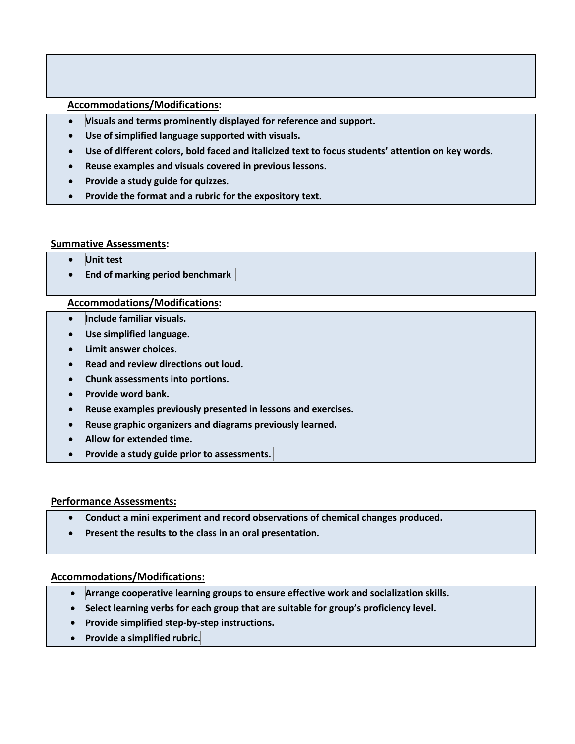### **Accommodations/Modifications:**

- **Visuals and terms prominently displayed for reference and support.**
- **Use of simplified language supported with visuals.**
- **Use of different colors, bold faced and italicized text to focus students' attention on key words.**
- **Reuse examples and visuals covered in previous lessons.**
- **Provide a study guide for quizzes.**
- **Provide the format and a rubric for the expository text.**

#### **Summative Assessments:**

- **Unit test**
- **End of marking period benchmark**

#### **Accommodations/Modifications:**

- **Include familiar visuals.**
- **Use simplified language.**
- **Limit answer choices.**
- **Read and review directions out loud.**
- **Chunk assessments into portions.**
- **Provide word bank.**
- **Reuse examples previously presented in lessons and exercises.**
- **Reuse graphic organizers and diagrams previously learned.**
- **Allow for extended time.**
- **Provide a study guide prior to assessments.**

#### **Performance Assessments:**

- **Conduct a mini experiment and record observations of chemical changes produced.**
- **Present the results to the class in an oral presentation.**

- **Arrange cooperative learning groups to ensure effective work and socialization skills.**
- **Select learning verbs for each group that are suitable for group's proficiency level.**
- **Provide simplified step-by-step instructions.**
- **Provide a simplified rubric.**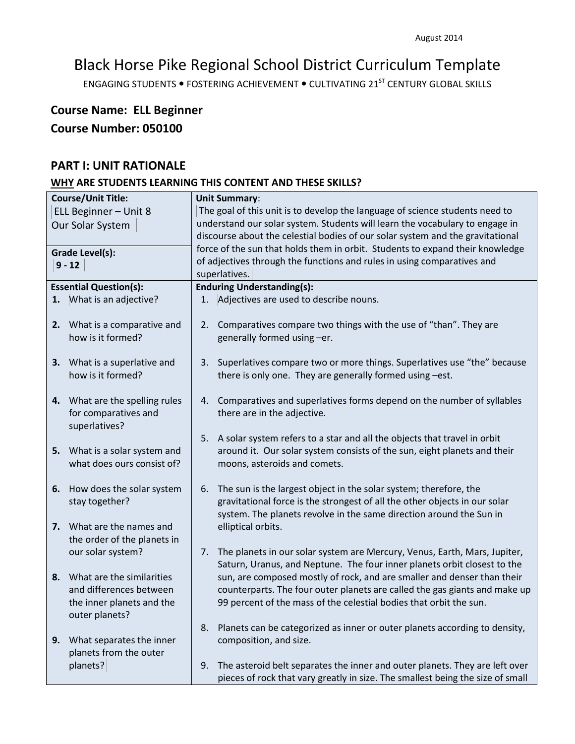ENGAGING STUDENTS . FOSTERING ACHIEVEMENT . CULTIVATING 21<sup>ST</sup> CENTURY GLOBAL SKILLS

## **Course Name: ELL Beginner Course Number: 050100**

## **PART I: UNIT RATIONALE**

| <b>Course/Unit Title:</b> |                                                          | <b>Unit Summary:</b>                                                         |                                                                                |  |
|---------------------------|----------------------------------------------------------|------------------------------------------------------------------------------|--------------------------------------------------------------------------------|--|
| ELL Beginner - Unit 8     |                                                          | The goal of this unit is to develop the language of science students need to |                                                                                |  |
| Our Solar System          |                                                          |                                                                              | understand our solar system. Students will learn the vocabulary to engage in   |  |
|                           |                                                          |                                                                              | discourse about the celestial bodies of our solar system and the gravitational |  |
|                           | <b>Grade Level(s):</b>                                   |                                                                              | force of the sun that holds them in orbit. Students to expand their knowledge  |  |
|                           | $9 - 12$                                                 |                                                                              | of adjectives through the functions and rules in using comparatives and        |  |
|                           |                                                          |                                                                              | superlatives.                                                                  |  |
|                           | <b>Essential Question(s):</b>                            |                                                                              | <b>Enduring Understanding(s):</b>                                              |  |
| 1.                        | What is an adjective?                                    | 1.                                                                           | Adjectives are used to describe nouns.                                         |  |
|                           |                                                          |                                                                              |                                                                                |  |
|                           | 2. What is a comparative and<br>how is it formed?        | 2.                                                                           | Comparatives compare two things with the use of "than". They are               |  |
|                           |                                                          |                                                                              | generally formed using -er.                                                    |  |
|                           | 3. What is a superlative and                             | 3.                                                                           | Superlatives compare two or more things. Superlatives use "the" because        |  |
|                           | how is it formed?                                        |                                                                              | there is only one. They are generally formed using -est.                       |  |
|                           |                                                          |                                                                              |                                                                                |  |
|                           | 4. What are the spelling rules                           | 4.                                                                           | Comparatives and superlatives forms depend on the number of syllables          |  |
|                           | for comparatives and                                     |                                                                              | there are in the adjective.                                                    |  |
|                           | superlatives?                                            |                                                                              |                                                                                |  |
|                           |                                                          |                                                                              | 5. A solar system refers to a star and all the objects that travel in orbit    |  |
|                           | 5. What is a solar system and                            |                                                                              | around it. Our solar system consists of the sun, eight planets and their       |  |
|                           | what does ours consist of?                               |                                                                              | moons, asteroids and comets.                                                   |  |
|                           |                                                          |                                                                              |                                                                                |  |
| 6.                        | How does the solar system                                | 6.                                                                           | The sun is the largest object in the solar system; therefore, the              |  |
|                           | stay together?                                           |                                                                              | gravitational force is the strongest of all the other objects in our solar     |  |
|                           |                                                          |                                                                              | system. The planets revolve in the same direction around the Sun in            |  |
|                           | 7. What are the names and<br>the order of the planets in |                                                                              | elliptical orbits.                                                             |  |
|                           | our solar system?                                        | 7.                                                                           | The planets in our solar system are Mercury, Venus, Earth, Mars, Jupiter,      |  |
|                           |                                                          |                                                                              | Saturn, Uranus, and Neptune. The four inner planets orbit closest to the       |  |
|                           | 8. What are the similarities                             |                                                                              | sun, are composed mostly of rock, and are smaller and denser than their        |  |
|                           | and differences between                                  |                                                                              | counterparts. The four outer planets are called the gas giants and make up     |  |
|                           | the inner planets and the                                |                                                                              | 99 percent of the mass of the celestial bodies that orbit the sun.             |  |
|                           | outer planets?                                           |                                                                              |                                                                                |  |
|                           |                                                          | 8.                                                                           | Planets can be categorized as inner or outer planets according to density,     |  |
| 9.                        | What separates the inner                                 |                                                                              | composition, and size.                                                         |  |
|                           | planets from the outer                                   |                                                                              |                                                                                |  |
|                           | planets?                                                 | 9.                                                                           | The asteroid belt separates the inner and outer planets. They are left over    |  |
|                           |                                                          |                                                                              | pieces of rock that vary greatly in size. The smallest being the size of small |  |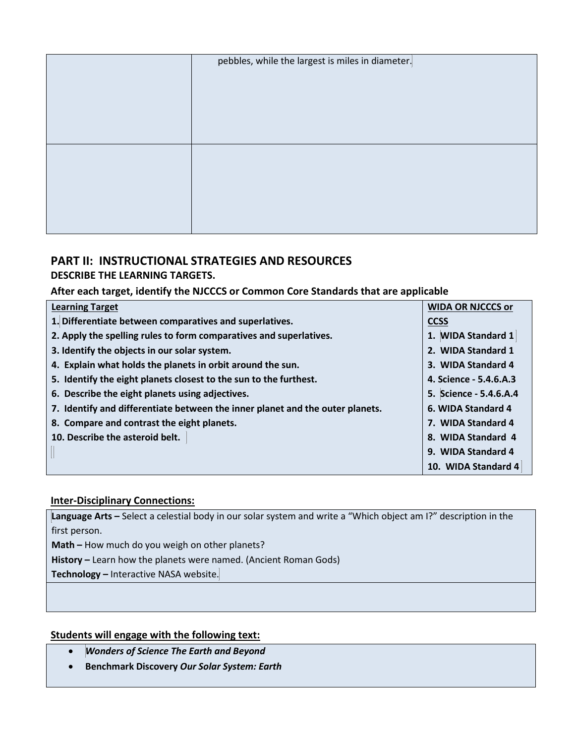| pebbles, while the largest is miles in diameter. |
|--------------------------------------------------|
|                                                  |
|                                                  |
|                                                  |
|                                                  |
|                                                  |
|                                                  |
|                                                  |
|                                                  |
|                                                  |

## **PART II: INSTRUCTIONAL STRATEGIES AND RESOURCES**

## **DESCRIBE THE LEARNING TARGETS.**

## **After each target, identify the NJCCCS or Common Core Standards that are applicable**

| <b>Learning Target</b>                                                        | <b>WIDA OR NJCCCS or</b> |
|-------------------------------------------------------------------------------|--------------------------|
| 1. Differentiate between comparatives and superlatives.                       | <b>CCSS</b>              |
| 2. Apply the spelling rules to form comparatives and superlatives.            | 1. WIDA Standard 1       |
| 3. Identify the objects in our solar system.                                  | 2. WIDA Standard 1       |
| 4. Explain what holds the planets in orbit around the sun.                    | 3. WIDA Standard 4       |
| 5. Identify the eight planets closest to the sun to the furthest.             | 4. Science - 5.4.6.A.3   |
| 6. Describe the eight planets using adjectives.                               | 5. Science - 5.4.6.A.4   |
| 7. Identify and differentiate between the inner planet and the outer planets. | 6. WIDA Standard 4       |
| 8. Compare and contrast the eight planets.                                    | 7. WIDA Standard 4       |
| 10. Describe the asteroid belt.                                               | 8. WIDA Standard 4       |
|                                                                               | 9. WIDA Standard 4       |
|                                                                               | 10. WIDA Standard 4      |

## **Inter-Disciplinary Connections:**

**Language Arts –** Select a celestial body in our solar system and write a "Which object am I?" description in the first person.

**Math –** How much do you weigh on other planets?

**History –** Learn how the planets were named. (Ancient Roman Gods)

**Technology –** Interactive NASA website.

## **Students will engage with the following text:**

- *Wonders of Science The Earth and Beyond*
- **Benchmark Discovery** *Our Solar System: Earth*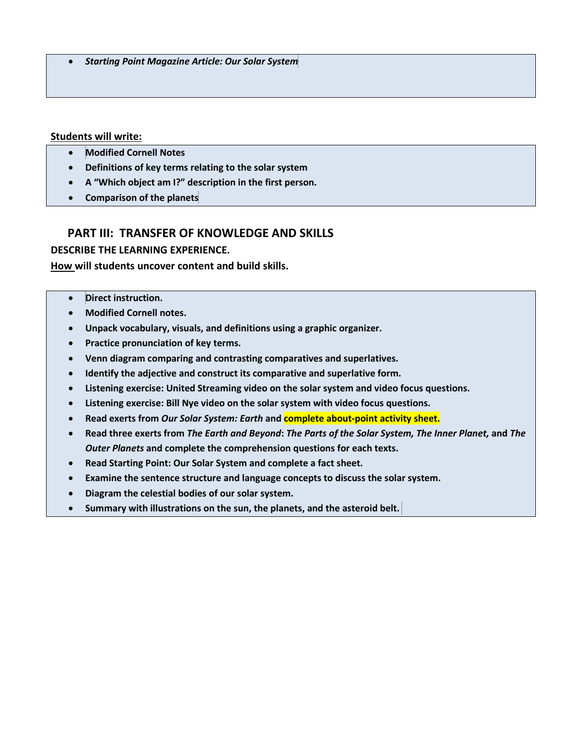• *Starting Point Magazine Article: Our Solar System*

#### **Students will write:**

- **Modified Cornell Notes**
- **Definitions of key terms relating to the solar system**
- **A "Which object am I?" description in the first person.**
- **Comparison of the planets**

### **PART III: TRANSFER OF KNOWLEDGE AND SKILLS**

**DESCRIBE THE LEARNING EXPERIENCE.**

**How will students uncover content and build skills.** 

- **Direct instruction.**
- **Modified Cornell notes.**
- **Unpack vocabulary, visuals, and definitions using a graphic organizer.**
- **Practice pronunciation of key terms.**
- **Venn diagram comparing and contrasting comparatives and superlatives.**
- **Identify the adjective and construct its comparative and superlative form.**
- **Listening exercise: United Streaming video on the solar system and video focus questions.**
- **Listening exercise: Bill Nye video on the solar system with video focus questions.**
- **Read exerts from** *Our Solar System: Earth* **and complete about-point activity sheet.**
- **Read three exerts from** *The Earth and Beyond***:** *The Parts of the Solar System, The Inner Planet,* **and** *The Outer Planets* **and complete the comprehension questions for each texts.**
- **Read Starting Point: Our Solar System and complete a fact sheet.**
- **Examine the sentence structure and language concepts to discuss the solar system.**
- **Diagram the celestial bodies of our solar system.**
- **Summary with illustrations on the sun, the planets, and the asteroid belt.**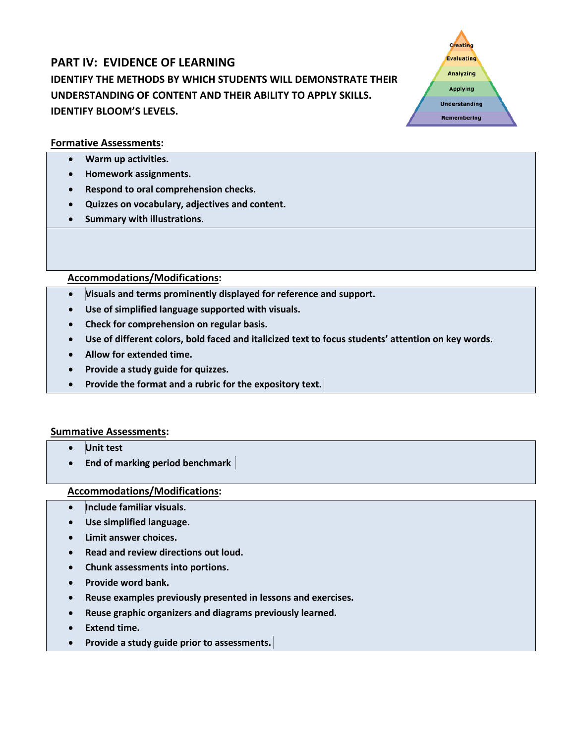# **PART IV: EVIDENCE OF LEARNING IDENTIFY THE METHODS BY WHICH STUDENTS WILL DEMONSTRATE THEIR UNDERSTANDING OF CONTENT AND THEIR ABILITY TO APPLY SKILLS. IDENTIFY BLOOM'S LEVELS.**

Creating Evaluating **Analyzing Applying Understanding** Remembering

## **Formative Assessments:**

- **Warm up activities.**
- **Homework assignments.**
- **Respond to oral comprehension checks.**
- **Quizzes on vocabulary, adjectives and content.**
- **Summary with illustrations.**

### **Accommodations/Modifications:**

- **Visuals and terms prominently displayed for reference and support.**
- **Use of simplified language supported with visuals.**
- **Check for comprehension on regular basis.**
- **Use of different colors, bold faced and italicized text to focus students' attention on key words.**
- **Allow for extended time.**
- **Provide a study guide for quizzes.**
- **Provide the format and a rubric for the expository text.**

#### **Summative Assessments:**

- **Unit test**
- **End of marking period benchmark**

- **Include familiar visuals.**
- **Use simplified language.**
- **Limit answer choices.**
- **Read and review directions out loud.**
- **Chunk assessments into portions.**
- **Provide word bank.**
- **Reuse examples previously presented in lessons and exercises.**
- **Reuse graphic organizers and diagrams previously learned.**
- **Extend time.**
- **Provide a study guide prior to assessments.**